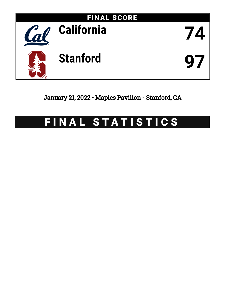

January 21, 2022 • Maples Pavilion - Stanford, CA

# FINAL STATISTICS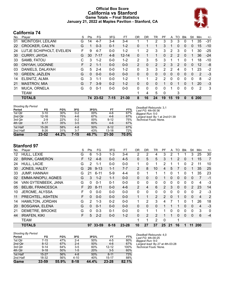### **Official Box Score California vs Stanford Game Totals -- Final Statistics January 21, 2022 at Maples Pavilion - Stanford, CA**



# **California 74**

| No. | Plaver                   | S  | Pts      | FG.      | 3FG      | FT.       | OR       | DR.      | TR             | РF             | A  | TO       | <b>Blk</b> | Stl          | Min | $+/-$ |
|-----|--------------------------|----|----------|----------|----------|-----------|----------|----------|----------------|----------------|----|----------|------------|--------------|-----|-------|
| 01  | MCINTOSH, LEILANI        | G  | 14       | $4 - 7$  | $3-4$    | 3-4       |          | и        | 2              | 3              | 3  | 3        | $\Omega$   | 1            | 35  | $-31$ |
| 22  | <b>CROCKER, CAILYN</b>   | G  |          | $0 - 3$  | $0 - 1$  | $1 - 2$   | 0        | 1        | 1              | 3              | 1  | $\Omega$ | $\Omega$   | $\mathbf{0}$ | 15  | $-10$ |
| 24  | LUTJE SCHIPHOLT, EVELIEN | F  | 9        | $4 - 7$  | $0 - 0$  | $1 - 2$   |          | 2        | 3              | 3              | 2  | 3        | 0          | 1            | 30  | $-25$ |
| 30  | <b>CURRY, JAYDA</b>      | G  | 30       | $7 - 17$ | $4 - 8$  | $12 - 14$ | 0        | 1        | $\mathbf 1$    | $\Omega$       | 2  | 2        | $\Omega$   | 1            | 36  | $-24$ |
| 33  | SAMB, FATOU              | С  | 3        | $1 - 2$  | $0 - 0$  | $1 - 2$   | 2        | 3        | 5              | 3              |    | 1        | $\Omega$   | 1            | 18  | $-10$ |
| 00  | <b>ONYIAH, UGONNE</b>    | F. | 2        | $1 - 1$  | $0 - 0$  | $0 - 0$   | 2        | 0        | $\overline{2}$ | $\overline{2}$ | 3  | 2        | $\Omega$   | $\mathbf{0}$ | 12  | -8    |
| 03  | DANIELS, DALAYAH         | G  | 5        | $2 - 4$  | $0 - 0$  | $1 - 2$   | 0        | 3        | 3              | 2              | 2  | 4        | 0          | 1            | 23  | $-2$  |
| 10  | <b>GREEN, JAZLEN</b>     | G  | $\Omega$ | $0 - 0$  | $0 - 0$  | $0 - 0$   | $\Omega$ | $\Omega$ | $\Omega$       | $\Omega$       | 0  | $\Omega$ | $\Omega$   | 0            | 2   | $-3$  |
| 14  | ELSNITZ, ALMA            | G  | 3        | $1 - 1$  | $0 - 0$  | $1 - 2$   |          | 1        | $\overline{2}$ | $\overline{2}$ | 0  | $\Omega$ | 0          | 0            | 8   | $-2$  |
| 21  | <b>MASTROV, MIA</b>      | G  | 7        | $3-9$    | $0 - 2$  | $1 - 2$   | 0        | 0        | 0              | 1              | 0  | 1        | 0          | 1            | 20  | $-3$  |
| 31  | <b>MUCA, ORNELA</b>      | G  | $\Omega$ | $0 - 1$  | $0 - 0$  | $0 - 0$   | $\Omega$ | $\Omega$ | 0              | 0              |    | 0        | 0          | 0            | 2   | 3     |
|     | <b>TEAM</b>              |    |          |          |          |           |          | 4        | 5              | 0              |    | 3        |            |              |     |       |
|     | <b>TOTALS</b>            |    |          | 74 23-52 | $7 - 15$ | $21 - 30$ | 8        | 16       | 24             | 19             | 15 | 19       | 0          | 6            | 200 |       |

| <b>Shooting By Period</b> |           |       |         |       |           |          | Deadball Rebounds: 3.1          |
|---------------------------|-----------|-------|---------|-------|-----------|----------|---------------------------------|
| Period                    | FG        | FG%   | 3FG     | 3FG%  | <b>FT</b> | FT%      | Last FG: 4th-00:36              |
| 1st Qtr                   | $3 - 10$  | 30%   | $0 - 2$ | 00%   | 4-6       | 67%      | Biggest Run: 5-0                |
| 2nd Qtr                   | $12 - 16$ | 75%   | $4-6$   | 67%   | $4-6$     | 67%      | Largest lead: By 1 at 2nd-01:39 |
| 3rd Qtr                   | $2-9$     | 22%   | $0 - 2$ | 00%   | $9 - 12$  | 75%      | Technical Fouls: None.          |
| 4th Qtr                   | $6 - 17$  | 35%   | $3-5$   | 60%   | $4-6$     | 67%      |                                 |
| 1st Half                  | $15 - 26$ | 58%   | $4 - 8$ | 50%   | $8 - 12$  | 67%      |                                 |
| 2nd Half                  | $8 - 26$  | 31%   | $3 - 7$ | 43%   | $13 - 18$ | 72%      |                                 |
| Game                      | $23 - 52$ | 44.2% | 7-15    | 46.7% | $21 - 30$ | $70.0\%$ |                                 |

### **Stanford 97**

| No. | Player                   | S | Pts            | FG       | 3FG      | <b>FT</b> | 0 <sub>R</sub> | DR             | TR             | <b>PF</b>      | A            | TO | <b>BIK</b>   | Stl            | Min            | $+/-$          |
|-----|--------------------------|---|----------------|----------|----------|-----------|----------------|----------------|----------------|----------------|--------------|----|--------------|----------------|----------------|----------------|
| 12  | HULL, LEXIE              | G | 6              | 1-3      | $1 - 3$  | $3 - 4$   | 2              | 2              | 4              | 3              | 2            |    |              | 3              | 25             | 30             |
| 22  | <b>BRINK, CAMERON</b>    | F | 12             | $4 - 8$  | $0 - 0$  | $4 - 5$   | $\Omega$       | 5              | 5              | 3              | 1            | 2  | 0            |                | 15             | 7              |
| 24  | HULL, LACIE              | G | $\overline{2}$ | $1 - 1$  | $0 - 0$  | $0 - 0$   | $\mathbf{1}$   | 0              | 1              | $\overline{2}$ | 1            |    | 0            | 2              | 11             | 10             |
| 30  | JONES, HALEY             | G | 26             | $9 - 13$ | $1 - 1$  | $7 - 7$   | 2              | 8              | 10             | 4              | 5            |    | $\mathbf{0}$ |                | 35             | 25             |
| 33  | <b>JUMP, HANNAH</b>      | G | 21             | $6 - 11$ | $5-9$    | $4 - 4$   | $\mathbf{0}$   | 1              |                |                | 0            |    | 0            |                | 35             | 23             |
| 02  | EMMA-NNOPU, AGNES        | G | 3              | $1 - 2$  | $1 - 1$  | $0-0$     | $\Omega$       | 0              | $\Omega$       |                | 0            | 0  | $\mathbf{0}$ | 0              | 7              | $-1$           |
| 04  | VAN GYTENBEEK, JANA      | G | $\Omega$       | $0 - 1$  | $0 - 1$  | $0 - 0$   | $\mathbf{0}$   | 0              | 0              | 0              | 0            | 0  | 0            | $\Omega$       | 4              | -3             |
| 05  | <b>BELIBI, FRANCESCA</b> | F | 20             | $8 - 11$ | $0 - 0$  | $4-6$     | 2              | 4              | 6              | 2              | 3            | 0  | $\Omega$     | $\mathfrak{p}$ | 23             | 14             |
| 10  | JEROME, ALYSSA           | F | 0              | $0 - 0$  | $0 - 0$  | $0-0$     | $\Omega$       | 0              | $\mathbf{0}$   | 0              | 0            | 0  | $\mathbf{0}$ | 0              | 2              | -3             |
| 11  | PRECHTEL, ASHTEN         | F | 0              | $0 - 0$  | $0 - 0$  | $0 - 0$   | 1              | 1              | $\overline{2}$ | $\overline{2}$ | $\mathbf{0}$ |    | 0            | $\mathbf{0}$   | $\overline{4}$ | $\overline{2}$ |
| 14  | HAMILTON, JORDAN         | G | $\mathcal{P}$  | $1 - 3$  | $0 - 2$  | $0 - 0$   | 1              | 2              | 3              | 4              |              |    | 0            |                | 26             | 18             |
| 20  | <b>BOSGANA, ELENA</b>    | G | 0              | $0 - 1$  | $0 - 0$  | $0 - 0$   | $\Omega$       | $\mathbf{0}$   | $\mathbf{0}$   |                | 1            | 1  | 0            | 0              | 4              | $-3$           |
| 21  | DEMETRE, BROOKE          | G | 0              | $0 - 3$  | $0 - 1$  | $0 - 0$   | $\Omega$       | 1              | 1              |                | $\Omega$     | 0  | 0            | 0              | 3              | 0              |
| 44  | <b>IRIAFEN, KIKI</b>     | F | 5              | $2 - 2$  | $0 - 0$  | $1 - 2$   | $\Omega$       | $\overline{2}$ | $\overline{2}$ |                | 1            | 0  | $\Omega$     | 0              | 6              | $-4$           |
|     | <b>TEAM</b>              |   |                |          |          |           | 1              |                | 2              | $\mathbf 0$    |              |    |              |                |                |                |
|     | TOTALS                   |   |                | 97 33-59 | $8 - 18$ | $23 - 28$ | 10             | 27             | 37             | 25             | 21           | 16 | 1            | 11             | 200            |                |

| <b>Shooting By Period</b> |           |       |          |       |           |       |
|---------------------------|-----------|-------|----------|-------|-----------|-------|
| Period                    | FG        | FG%   | 3FG      | 3FG%  | FT        | FT%   |
| 1st Qtr                   | $7-15$    | 47%   | $2 - 4$  | 50%   | $4 - 5$   | 80%   |
| 2nd Qtr                   | $8 - 12$  | 67%   | $2 - 4$  | 50%   | $4-6$     | 67%   |
| 3rd Qtr                   | $9 - 14$  | 64%   | $3-5$    | 60%   | $12 - 12$ | 100%  |
| 4th Qtr                   | $9 - 18$  | 50%   | $1-5$    | 20%   | $3-5$     | 60%   |
| 1st Half                  | $15 - 27$ | 56%   | $4 - 8$  | 50%   | $8 - 11$  | 73%   |
| 2nd Half                  | 18-32     | 56%   | $4 - 10$ | 40%   | $15 - 17$ | 88%   |
| Game                      | $33 - 59$ | 55.9% | $8 - 18$ | 44.4% | $23 - 28$ | 82.1% |

*Deadball Rebounds:* 4,0 *Last FG:* 4th-00:25 *Biggest Run:* 9-0 *Largest lead:* By 27 at 4th-03:28 *Technical Fouls:* None.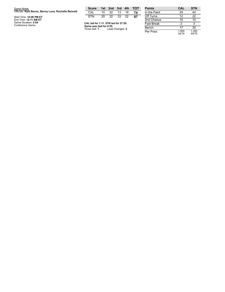| Game Notes:                                         | <b>Score</b>                             |    |                 |    |    | 1st 2nd 3rd 4th TOT | <b>Points</b>     |
|-----------------------------------------------------|------------------------------------------|----|-----------------|----|----|---------------------|-------------------|
| Officials: Kyle Bacon, Benny Luna, Rochelle Bennett | CAL                                      | 10 | 32              | 13 | 19 | 74                  | In the Paint      |
| Start Time: 10:06 PM ET                             | <b>STN</b>                               | 20 | 22 33           |    | 22 | 97                  | Off Turns         |
| End Time: 12:11 AM ET                               |                                          |    |                 |    |    |                     | 2nd Chance        |
| Game Duration: 2:04<br>Conference Game;             | CAL led for 1:11. STN led for 37:55.     |    |                 |    |    |                     | <b>Fast Break</b> |
|                                                     | Game was tied for 0:55.<br>Times tied: 1 |    | Lead Changes: 2 |    |    |                     | Bench             |

| <b>Points</b>     | <b>CAL</b>     | <b>STN</b>     |
|-------------------|----------------|----------------|
| In the Paint      | 24             | 44             |
| Off Turns         | 12             | 22             |
| 2nd Chance        | 10             | 10             |
| <b>Fast Break</b> | 2              | 3              |
| Bench             | 17             | 30             |
| Per Poss          | 1.000<br>34/74 | 1.293<br>44/75 |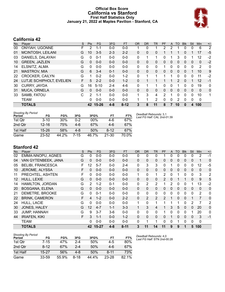### **Official Box Score California vs Stanford First Half Statistics Only January 21, 2022 at Maples Pavilion - Stanford, CA**



# **California 42**

| No. | Plaver                   | S  | <b>Pts</b> | <b>FG</b> | 3FG     | <b>FT</b> | <b>OR</b> | <b>DR</b> | <b>TR</b>      | <b>PF</b> | A | TO            | <b>Blk</b>   | Stl      | Min            | $+/-$    |
|-----|--------------------------|----|------------|-----------|---------|-----------|-----------|-----------|----------------|-----------|---|---------------|--------------|----------|----------------|----------|
| 00  | <b>ONYIAH, UGONNE</b>    | F  | 2          | $1 - 1$   | $0 - 0$ | $0-0$     |           | 0         |                | 2         | 2 |               | 0            | 0        | 6              | 2        |
| 01  | MCINTOSH, LEILANI        | G  | 10         | $3 - 5$   | $2 - 3$ | $2 - 2$   | 0         | $\Omega$  | 0              |           |   |               | 0            |          | 17             | -5       |
| 03  | DANIELS, DALAYAH         | G  | 0          | $0 - 1$   | $0 - 0$ | $0 - 0$   | 0         | 1         |                | 0         |   | 3             | $\Omega$     |          | 12             | $-2$     |
| 10  | <b>GREEN, JAZLEN</b>     | G  | $\Omega$   | $0 - 0$   | $0 - 0$ | $0 - 0$   | 0         | 0         | 0              | 0         | 0 | 0             | $\mathbf{0}$ | 0        | 0              | $-2$     |
| 14  | ELSNITZ, ALMA            | G  | 0          | $0 - 0$   | $0 - 0$ | $0 - 0$   | 0         | 0         | 0              | 1         | 0 | 0             | $\Omega$     | 0        | $\overline{2}$ | 0        |
| 21  | <b>MASTROV, MIA</b>      | G  | 6          | $3 - 4$   | $0 - 1$ | $0 - 0$   | $\Omega$  | $\Omega$  | $\Omega$       | $\Omega$  | 0 | $\Omega$      | $\Omega$     |          | 10             | 9        |
| 22  | <b>CROCKER, CAILYN</b>   | G  |            | $0 - 2$   | $0 - 0$ | $1 - 2$   | 0         | 1         |                |           |   | 0             | $\Omega$     | 0        | 11             | $-2$     |
| 24  | LUTJE SCHIPHOLT, EVELIEN | F. | 5          | $2 - 2$   | $0 - 0$ | $1 - 2$   | 0         | 1         |                |           |   | $\mathcal{P}$ | $\Omega$     | 1        | 12             | -1       |
| 30  | <b>CURRY, JAYDA</b>      | G  | 16         | $5 - 10$  | 2-4     | $4-6$     | 0         | 1         |                | 0         | 0 |               | 0            | 0        | 19             | 0        |
| 31  | MUCA, ORNELA             | G  | $\Omega$   | $0 - 0$   | $0 - 0$ | $0 - 0$   | 0         | 0         | 0              | 0         | 0 | 0             | $\mathbf{0}$ | 0        | 0              | $\Omega$ |
| 33  | SAMB, FATOU              | C. | 2          | $1 - 1$   | $0 - 0$ | $0 - 0$   | 1         | 3         | 4              | 2         | 1 | 0             | $\Omega$     | $\Omega$ | 10             | 1        |
|     | <b>TEAM</b>              |    | 0          | $0 - 0$   | $0 - 0$ | $0 - 0$   |           | 1         | $\overline{2}$ | 0         | 0 | 2             | $\Omega$     | 0        | 0              |          |
|     | <b>TOTALS</b>            |    |            | 42 15-26  | $4 - 8$ | $8 - 12$  | 3         | 8         | 11             | 8         |   | 10            | $\bf{0}$     | 4        | 100            |          |

| <b>Shooting By Period</b><br>Period | FG        | FG%   | 3FG  | 3FG%  | FT        | FT%   | Dea<br>Last |
|-------------------------------------|-----------|-------|------|-------|-----------|-------|-------------|
| 1st Otr                             | $3 - 10$  | 30%   | 0-2  | 00%   | 4-6       | 67%   |             |
| 2nd Qtr                             | $12 - 16$ | 75%   | 4-6  | 67%   | $4-6$     | 67%   |             |
| 1st Half                            | $15 - 26$ | 58%   | 4-8  | 50%   | $8 - 12$  | 67%   |             |
| Game                                | $23 - 52$ | 44.2% | 7-15 | 46.7% | $21 - 30$ | 70.0% |             |

*Deadball Rebounds:* 3,1 *Last FG Half:* CAL 2nd-01:39

# **Stanford 42**

| No. | Player                   | S. | <b>Pts</b>        | FG        | 3FG     | <b>FT</b> | <b>OR</b>    | <b>DR</b>      | <b>TR</b>    | PF             | A        | TO       | <b>Blk</b> | Stl          | <b>Min</b>   | $+/-$          |
|-----|--------------------------|----|-------------------|-----------|---------|-----------|--------------|----------------|--------------|----------------|----------|----------|------------|--------------|--------------|----------------|
| 02  | EMMA-NNOPU, AGNES        | G  | 0                 | $0 - 0$   | $0-0$   | $0-0$     | $\mathbf{0}$ | 0              | 0            |                | 0        | 0        | 0          | 0            | 2            | $-1$           |
| 04  | VAN GYTENBEEK, JANA      | G  | 0                 | $0 - 0$   | $0 - 0$ | $0 - 0$   | $\Omega$     | 0              | $\mathbf{0}$ | $\mathbf{0}$   | $\Omega$ | 0        | 0          | $\mathbf{0}$ | 1            | $\Omega$       |
| 05  | <b>BELIBI, FRANCESCA</b> | F  | 12                | $5 - 7$   | $0-0$   | $2 - 4$   | 0            | 3              | 3            | 0              |          | 0        | 0          | 0            | 12           | $-5$           |
| 10  | JEROME, ALYSSA           | F. | 0                 | $0 - 0$   | $0 - 0$ | $0 - 0$   | $\Omega$     | $\Omega$       | $\mathbf{0}$ | $\Omega$       | $\Omega$ | $\Omega$ | 0          | $\mathbf{0}$ | $\Omega$     | $\Omega$       |
| 11  | PRECHTEL, ASHTEN         | F  | 0                 | $0 - 0$   | $0 - 0$ | $0 - 0$   | 1            | 0              | 1            | 2              | 0        |          | 0          | 0            | 3            | 2              |
| 12  | HULL, LEXIE              | G  | 0                 | $0 - 0$   | $0 - 0$ | $0 - 0$   | $\mathbf{0}$ | $\Omega$       | $\Omega$     | $\overline{2}$ | $\Omega$ |          |            | $\Omega$     | 9            | 5              |
| 14  | HAMILTON, JORDAN         | G  | 2                 | $1 - 2$   | $0 - 1$ | $0 - 0$   | 0            | 2              | 2            |                | 2        | 0        | 0          |              | 13           | $-2$           |
| 20  | <b>BOSGANA, ELENA</b>    | G  | 0                 | $0 - 0$   | $0 - 0$ | $0 - 0$   | $\Omega$     | 0              | $\mathbf{0}$ | 0              | 0        | 0        | 0          | 0            | $\Omega$     | $\mathbf 0$    |
| 21  | DEMETRE, BROOKE          | G  | 0                 | $0 - 1$   | $0-0$   | $0 - 0$   | 0            | 0              | 0            | 0              | 0        | 0        | 0          | 0            | 2            | 0              |
| 22  | <b>BRINK, CAMERON</b>    | F  | 4                 | $1 - 2$   | $0 - 0$ | $2 - 2$   | $\mathbf{0}$ | $\overline{2}$ | 2            | $\mathcal{P}$  |          | $\Omega$ | 0          |              | 7            | $\Omega$       |
| 24  | HULL, LACIE              | G  | 0                 | $0 - 0$   | $0 - 0$ | $0 - 0$   | 1            | 0              | 1            |                | 1        | 1        | 0          | 2            | 7            | $\overline{2}$ |
| 30  | JONES, HALEY             | G  | $12 \overline{ }$ | $4 - 7$   | $1 - 1$ | $3 - 3$   | 1            | 3              | 4            |                | 3        | 5        | $\Omega$   | $\Omega$     | 20           | $\mathbf 0$    |
| 33  | <b>JUMP, HANNAH</b>      | G  | 9                 | $3 - 7$   | $3-6$   | $0 - 0$   | 0            | 0              | $\Omega$     |                | 0        | 0        | $\Omega$   |              | 20           | 0              |
| 44  | <b>IRIAFEN, KIKI</b>     | F  | 3                 | $1 - 1$   | $0 - 0$ | $1 - 2$   | $\mathbf{0}$ | 0              | $\mathbf{0}$ | 0              |          | 0        | 0          | 0            | 3            | $-1$           |
|     | TEAM                     |    | 0                 | $0 - 0$   | $0 - 0$ | $0 - 0$   | 0            | 1              | 1            | 0              | $\Omega$ | 1        | 0          | 0            | $\mathbf{0}$ |                |
|     | <b>TOTALS</b>            |    | 42                | $15 - 27$ | $4 - 8$ | $8 - 11$  | 3            | 11             | 14           | 11             | 9        | 9        |            | 5            | 100          |                |

| <b>Shooting By Period</b><br>Period | FG       | FG%   | 3FG     | 3FG%  | FT       | FT%   |
|-------------------------------------|----------|-------|---------|-------|----------|-------|
| 1st Qtr                             | $7 - 15$ | 47%   | 2-4     | 50%   | 4-5      | 80%   |
| 2nd Qtr                             | $8 - 12$ | 67%   | $2 - 4$ | 50%   | $4-6$    | 67%   |
| 1st Half                            | 15-27    | 56%   | 4-8     | 50%   | $8 - 11$ | 73%   |
| Game                                | 33-59    | 55.9% | 8-18    | 44.4% | 23-28    | 82.1% |

*Deadball Rebounds:* 4,0 *Last FG Half:* STN 2nd-00:28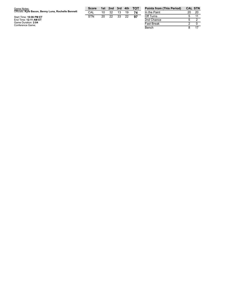| Game Notes:                                                             | Score |    | 1st 2nd 3rd 4th |    |    | тот | <b>Points</b>                |
|-------------------------------------------------------------------------|-------|----|-----------------|----|----|-----|------------------------------|
| Officials: Kyle Bacon, Benny Luna, Rochelle Bennett                     | CAL   | 10 | 32              | 13 | 19 |     | In the F                     |
| Start Time: 10:06 PM ET<br>End Time: 12:11 AM ET<br>Game Duration: 2:04 | STN   | 20 | 22              | 33 | 22 | 97  | Off Tur<br>2nd Ch<br>Fast Br |
| Conference Game;                                                        |       |    |                 |    |    |     | $  -$                        |

| <b>Points from (This Period)</b> | <b>CAL STN</b> |    |
|----------------------------------|----------------|----|
| In the Paint                     | 20             | 20 |
| Off Turns                        | 5              | 11 |
| 2nd Chance                       | 5              | 2  |
| <b>Fast Break</b>                | 2              |    |
| Bench                            |                | 17 |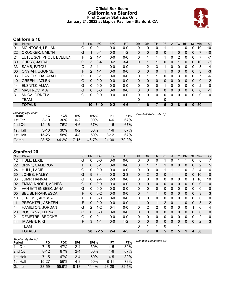### **Official Box Score California vs Stanford First Quarter Statistics Only January 21, 2022 at Maples Pavilion - Stanford, CA**



# **California 10**

| No. | Player                   | S | Pts           | <b>FG</b> | 3FG     | <b>FT</b> | <b>OR</b>    | <b>DR</b> | <b>TR</b> | PF | A            | TO       | <b>Blk</b> | <b>Stl</b>   | Min            | $+/-$ |
|-----|--------------------------|---|---------------|-----------|---------|-----------|--------------|-----------|-----------|----|--------------|----------|------------|--------------|----------------|-------|
| 01  | MCINTOSH, LEILANI        | G | 0             | $0 - 1$   | $0 - 0$ | $0-0$     | 0            | 0         | 0         |    |              |          | 0          | 0            | 10             | $-10$ |
| 22  | <b>CROCKER, CAILYN</b>   | G |               | $0 - 1$   | $0 - 0$ | $1 - 2$   | $\mathbf{0}$ | 0         | 0         | 0  |              | 0        | 0          | 0            |                | $-10$ |
| 24  | LUTJE SCHIPHOLT, EVELIEN | F | 2             | 1-1       | $0 - 0$ | $0 - 0$   | 0            |           |           |    | $\mathbf{0}$ | 2        | 0          | 0            |                | $-7$  |
| 30  | <b>CURRY, JAYDA</b>      | G | 3             | $0 - 4$   | $0 - 2$ | $3 - 4$   | $\mathbf{0}$ |           | 1         | 0  | $\mathbf{0}$ |          | 0          | $\Omega$     | 10             | $-7$  |
| 33  | SAMB, FATOU              | C | $\mathcal{P}$ | $1 - 1$   | $0 - 0$ | $0 - 0$   | 1            | 2         | 3         | 1  | $\Omega$     | 0        | 0          | $\Omega$     | 3              | $-4$  |
| 00  | ONYIAH, UGONNE           | F | $\mathcal{P}$ | $1 - 1$   | $0 - 0$ | $0 - 0$   | $\mathbf{0}$ | 0         | 0         |    | $\mathbf{0}$ | 0        | 0          | $\mathbf{0}$ | 3              | $-3$  |
| 03  | DANIELS, DALAYAH         | G | 0             | $0 - 1$   | $0 - 0$ | $0-0$     | $\Omega$     | 1         | 1         | 0  | $\Omega$     | 3        | 0          | 0            | 7              | -6    |
| 10  | <b>GREEN, JAZLEN</b>     | G | $\Omega$      | $0 - 0$   | $0 - 0$ | $0 - 0$   | $\mathbf{0}$ | $\Omega$  | 0         | 0  | $\Omega$     | 0        | 0          | $\Omega$     | 0              | $-2$  |
| 14  | ELSNITZ, ALMA            | G | $\Omega$      | $0 - 0$   | $0 - 0$ | $0 - 0$   | $\mathbf{0}$ | 0         | 0         |    | 0            | 0        | 0          | $\mathbf 0$  | $\overline{2}$ | 0     |
| 21  | <b>MASTROV, MIA</b>      | G | $\Omega$      | $0 - 0$   | $0 - 0$ | $0 - 0$   | $\Omega$     | 0         | 0         | 0  | $\Omega$     | $\Omega$ | 0          | $\Omega$     | $\Omega$       | -1    |
| 31  | <b>MUCA, ORNELA</b>      | G | 0             | $0 - 0$   | $0-0$   | $0 - 0$   | $\Omega$     | 0         | 0         | 0  | $\Omega$     | 0        | 0          | 0            | 0              | 0     |
|     | <b>TEAM</b>              |   |               |           |         |           | $\Omega$     | 1         | 1         | 0  |              |          |            |              |                |       |
|     | <b>TOTALS</b>            |   | 10            | $3 - 10$  | $0 - 2$ | $4 - 6$   |              | 6         |           | 5  | $\mathbf{2}$ | 8        | 0          | 0            | 50             |       |

| <b>Shooting By Period</b><br>Period | FG        | FG%   | 3FG   | 3FG%  | FT        | FT%   | Deadball Rebounds: 3,1 |
|-------------------------------------|-----------|-------|-------|-------|-----------|-------|------------------------|
| 1st Qtr                             | $3 - 10$  | 30%   | 0-2   | 00%   | 4-6       | 67%   |                        |
| 2nd Qtr                             | $12 - 16$ | 75%   | $4-6$ | 67%   | $4-6$     | 67%   |                        |
| 1st Half                            | $3 - 10$  | 30%   | 0-2   | 00%   | $4-6$     | 67%   |                        |
| 1st Half                            | 15-26     | 58%   | 4-8   | 50%   | 8-12      | 67%   |                        |
| Game                                | $23 - 52$ | 44.2% | 7-15  | 46.7% | $21 - 30$ | 70.0% |                        |

# **Stanford 20**

| No. | Player                   | S | Pts            | FG.      | 3FG     | <b>FT</b> | <b>OR</b>    | <b>DR</b>      | <b>TR</b>      | PF | A            | <b>TO</b> | <b>Blk</b> | <b>Stl</b>   | Min            | $+/-$          |
|-----|--------------------------|---|----------------|----------|---------|-----------|--------------|----------------|----------------|----|--------------|-----------|------------|--------------|----------------|----------------|
| 12  | HULL, LEXIE              | G | 0              | $0 - 0$  | $0 - 0$ | $0 - 0$   | 0            | 0              | 0              |    | 0            |           |            | 0            | 8              | 7              |
| 22  | <b>BRINK, CAMERON</b>    | F | 0              | $0 - 1$  | $0 - 0$ | $0-0$     | 0            | 1              | $\mathbf{1}$   | 1  | 0            | 0         | 0          | $\mathbf{0}$ | 2              | 5              |
| 24  | HULL, LACIE              | G | 0              | $0 - 0$  | $0 - 0$ | $0-0$     | 0            | 0              | $\mathbf{0}$   |    |              | 1         | 0          | 2            | 4              | 6              |
| 30  | JONES, HALEY             | G | 9              | $3 - 4$  | $0 - 0$ | $3 - 3$   | 0            | $\overline{2}$ | $\overline{2}$ | 0  |              |           | $\Omega$   | $\Omega$     | 10             | 10             |
| 33  | <b>JUMP, HANNAH</b>      | G | 6              | $2 - 4$  | $2 - 3$ | $0-0$     | 0            | 0              | 0              | 0  | 0            | 0         | 0          |              | 10             | 10             |
| 02  | <b>EMMA-NNOPU, AGNES</b> | G | $\Omega$       | $0 - 0$  | $0 - 0$ | $0 - 0$   | $\Omega$     | 0              | $\mathbf 0$    | 0  | $\mathbf{0}$ | 0         | 0          | $\mathbf{0}$ | $\Omega$       | $\mathbf 0$    |
| 04  | VAN GYTENBEEK, JANA      | G | $\Omega$       | $0 - 0$  | $0 - 0$ | $0 - 0$   | 0            | $\mathbf{0}$   | $\mathbf{0}$   | 0  | 0            | 0         | 0          | 0            | $\mathbf{0}$   | 0              |
| 05  | <b>BELIBI, FRANCESCA</b> | F | $\Omega$       | $0 - 2$  | $0 - 0$ | $0 - 0$   | $\Omega$     | 1              | 1              | 0  | 0            | $\Omega$  | $\Omega$   | $\Omega$     | 3              | 3              |
| 10  | JEROME, ALYSSA           | F | 0              | $0 - 0$  | $0 - 0$ | $0-0$     | 0            | 0              | $\mathbf{0}$   | 0  | 0            | $\Omega$  | 0          | $\Omega$     | 0              | 0              |
| 11  | PRECHTEL, ASHTEN         | F | $\mathbf{0}$   | $0-0$    | $0 - 0$ | $0 - 0$   | $\mathbf{1}$ | 0              | 1              | 2  | $\mathbf{0}$ |           | $\Omega$   | $\mathbf{0}$ | 3              | $\overline{2}$ |
| 14  | HAMILTON, JORDAN         | G | $\overline{2}$ | $1 - 2$  | $0 - 1$ | $0-0$     | 0            | $\overline{2}$ | 2              | 0  | 0            | 0         | 0          |              | 6              | 4              |
| 20  | <b>BOSGANA, ELENA</b>    | G | $\Omega$       | $0 - 0$  | $0 - 0$ | $0 - 0$   | $\Omega$     | 0              | 0              | 0  | $\mathbf{0}$ | 0         | 0          | $\mathbf{0}$ | $\Omega$       | $\mathbf 0$    |
| 21  | DEMETRE, BROOKE          | G | $\Omega$       | $0 - 1$  | $0 - 0$ | $0 - 0$   | 0            | $\mathbf{0}$   | $\mathbf 0$    | 0  | 0            | $\Omega$  | 0          | $\Omega$     | $\overline{2}$ | 0              |
| 44  | <b>IRIAFEN, KIKI</b>     | F | 3              | $1 - 1$  | $0 - 0$ | $1 - 2$   | $\Omega$     | 0              | $\mathbf{0}$   | 0  | 0            | $\Omega$  | $\Omega$   | $\Omega$     | 2              | 3              |
|     | TEAM                     |   |                |          |         |           | 0            | 1              | 1              | 0  |              | 1         |            |              |                |                |
|     | <b>TOTALS</b>            |   | 20             | $7 - 15$ | $2 - 4$ | $4 - 5$   | 1            | 7              | 8              | 5  | 2            | 5         | 1          | 4            | 50             |                |

| <b>Shooting By Period</b><br>Period | FG        | FG%   | 3FG      | 3FG%  | <b>FT</b> | FT%   | Deadball Rebounds: 4,0 |
|-------------------------------------|-----------|-------|----------|-------|-----------|-------|------------------------|
| 1st Qtr                             | 7-15      | 47%   | $2 - 4$  | 50%   | $4-5$     | 80%   |                        |
| 2nd Qtr                             | $8 - 12$  | 67%   | $2 - 4$  | 50%   | $4-6$     | 67%   |                        |
| 1st Half                            | $7 - 15$  | 47%   | $2 - 4$  | 50%   | $4-5$     | 80%   |                        |
| 1st Half                            | $15 - 27$ | 56%   | 4-8      | 50%   | $8 - 11$  | 73%   |                        |
| Game                                | $33 - 59$ | 55.9% | $8 - 18$ | 44.4% | $23 - 28$ | 82.1% |                        |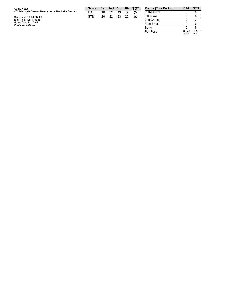| Game Notes:                                         | <b>Score</b> |    | 1st 2nd 3rd 4th |     |    | <b>TOT</b> | <b>Points (This)</b> |
|-----------------------------------------------------|--------------|----|-----------------|-----|----|------------|----------------------|
| Officials: Kyle Bacon, Benny Luna, Rochelle Bennett | CAL          | 10 | 32              | 13  | 19 |            | In the Paint         |
| Start Time: 10:06 PM ET                             | <b>STN</b>   | 20 | 22              | -33 | 22 | 97         | Off Turns            |
| End Time: 12:11 AM ET                               |              |    |                 |     |    |            | 2nd Chance           |
| Game Duration: 2:04<br>Conference Game;             |              |    |                 |     |    |            | <b>Fast Break</b>    |
|                                                     |              |    |                 |     |    |            | $\sim$ $\sim$        |

| <b>Points (This Period)</b> | CAL           | – STN         |
|-----------------------------|---------------|---------------|
| In the Paint                |               |               |
| Off Turns                   |               |               |
| 2nd Chance                  | 2             | 2             |
| <b>Fast Break</b>           |               |               |
| Bench                       | 2             | г,            |
| Per Poss                    | 0.526<br>5/19 | 0.952<br>9/21 |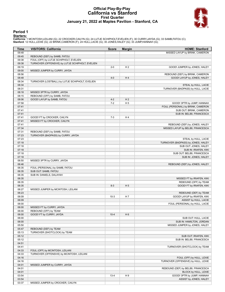### **Official Play-By-Play California vs Stanford First Quarter January 21, 2022 at Maples Pavilion - Stanford, CA**



### **Period 1**

<mark>Starters:</mark><br>California: 1 MCINTOSH,LEILANI (G); 22 CROCKER,CAILYN (G); 24 LUTJE SCHIPHOLT,EVELIEN (F); 30 CURRY,JAYDA (G); 33 SAMB,FATOU (C);<br>**Stanford**: 12 HULL,LEXIE (G); 22 BRINK,CAMERON (F); 24 HULL,LACIE (G); 30 JONES

| Time           | <b>VISITORS: California</b>                      | <b>Score</b> | <b>Margin</b>  | <b>HOME: Stanford</b>               |
|----------------|--------------------------------------------------|--------------|----------------|-------------------------------------|
| 09:48          |                                                  |              |                | MISSED LAYUP by BRINK, CAMERON      |
| 09:45          | REBOUND (DEF) by SAMB, FATOU                     |              |                |                                     |
| 09:38          | FOUL (OFF) by LUTJE SCHIPHOLT, EVELIEN           |              |                |                                     |
| 09:38          | TURNOVER (OFFENSIVE) by LUTJE SCHIPHOLT, EVELIEN |              |                |                                     |
| 09:19          |                                                  | $2 - 0$      | H <sub>2</sub> | GOOD! JUMPER by JONES, HALEY        |
| 09:00          | MISSED JUMPER by CURRY, JAYDA                    |              |                |                                     |
| 08:56          |                                                  |              |                | REBOUND (DEF) by BRINK, CAMERON     |
| 08:48          |                                                  | $4 - 0$      | H4             | GOOD! LAYUP by JONES, HALEY         |
| 08:34          | TURNOVER (LOSTBALL) by LUTJE SCHIPHOLT, EVELIEN  |              |                |                                     |
| 08:34          |                                                  |              |                | STEAL by HULL, LACIE                |
| 08:31          |                                                  |              |                | TURNOVER (BADPASS) by HULL, LACIE   |
| 08:18          | MISSED 3PTR by CURRY, JAYDA                      |              |                |                                     |
| 08:15          | REBOUND (OFF) by SAMB, FATOU                     |              |                |                                     |
| 08:06          | GOOD! LAYUP by SAMB, FATOU                       | $4 - 2$      | H <sub>2</sub> |                                     |
| 07:58          |                                                  | $7 - 2$      | H <sub>5</sub> | GOOD! 3PTR by JUMP, HANNAH          |
| 07:41          |                                                  |              |                | FOUL (PERSONAL) by BRINK, CAMERON   |
| 07:41          |                                                  |              |                | SUB OUT: BRINK, CAMERON             |
| 07:41          |                                                  |              |                | SUB IN: BELIBI, FRANCESCA           |
| 07:41          | GOOD! FT by CROCKER, CAILYN                      | $7 - 3$      | H4             |                                     |
| 07:41          | MISSED FT by CROCKER, CAILYN                     |              |                |                                     |
| 07:41          |                                                  |              |                | REBOUND (DEF) by JONES, HALEY       |
| 07:34          |                                                  |              |                | MISSED LAYUP by BELIBI, FRANCESCA   |
| 07:31          | REBOUND (DEF) by SAMB, FATOU                     |              |                |                                     |
| 07:23          | TURNOVER (BADPASS) by CURRY, JAYDA               |              |                |                                     |
| 07:23          |                                                  |              |                | STEAL by HULL, LACIE                |
| 07:18          |                                                  |              |                | TURNOVER (BADPASS) by JONES, HALEY  |
| 07:18          |                                                  |              |                | SUB OUT: JONES, HALEY               |
| 07:18          |                                                  |              |                | SUB IN: IRIAFEN, KIKI               |
| 07:18          |                                                  |              |                | SUB OUT: BELIBI, FRANCESCA          |
| 07:18          |                                                  |              |                | SUB IN: JONES, HALEY                |
| 06:50          | MISSED 3PTR by CURRY, JAYDA                      |              |                |                                     |
| 06:46          |                                                  |              |                | REBOUND (DEF) by JONES, HALEY       |
| 06:35          | FOUL (PERSONAL) by SAMB, FATOU                   |              |                |                                     |
| 06:35          | SUB OUT: SAMB, FATOU                             |              |                |                                     |
| 06:35          | SUB IN: DANIELS, DALAYAH                         |              |                |                                     |
| 06:35          |                                                  |              |                | MISSED FT by IRIAFEN, KIKI          |
| 06:35          |                                                  |              |                | REBOUND (OFF) by TEAM               |
| 06:35          |                                                  | $8 - 3$      | H <sub>5</sub> | <b>GOOD! FT by IRIAFEN, KIKI</b>    |
| 06:27          | MISSED JUMPER by MCINTOSH, LEILANI               |              |                |                                     |
| 06:23          |                                                  |              |                | REBOUND (DEF) by TEAM               |
| 06:09          |                                                  | $10-3$       | H 7            | GOOD! LAYUP by IRIAFEN, KIKI        |
| 06:09          |                                                  |              |                | ASSIST by HULL, LACIE               |
| 06:00          |                                                  |              |                | FOUL (PERSONAL) by HULL, LACIE      |
| 06:00          | MISSED FT by CURRY, JAYDA                        |              |                |                                     |
| 06:00          | REBOUND (OFF) by TEAM                            |              |                |                                     |
|                |                                                  |              |                |                                     |
| 06:00<br>06:00 | GOOD! FT by CURRY, JAYDA                         | $10 - 4$     | H <sub>6</sub> |                                     |
| 06:00          |                                                  |              |                | SUB OUT: HULL, LACIE                |
|                |                                                  |              |                | SUB IN: HAMILTON, JORDAN            |
| 05:50          |                                                  |              |                | MISSED JUMPER by JONES, HALEY       |
| 05:47          | REBOUND (DEF) by TEAM                            |              |                |                                     |
| 05:13          | TURNOVER (SHOTCLOCK) by TEAM                     |              |                |                                     |
| 05:12          |                                                  |              |                | SUB OUT: IRIAFEN, KIKI              |
| 05:12          |                                                  |              |                | SUB IN: BELIBI, FRANCESCA           |
| 04:51          |                                                  |              |                |                                     |
| 04:41          |                                                  |              |                | TURNOVER (SHOTCLOCK) by TEAM        |
| 04:33          | FOUL (OFF) by MCINTOSH, LEILANI                  |              |                |                                     |
| 04:33          | TURNOVER (OFFENSIVE) by MCINTOSH, LEILANI        |              |                |                                     |
| 04:16          |                                                  |              |                | FOUL (OFF) by HULL, LEXIE           |
| 04:16          |                                                  |              |                | TURNOVER (OFFENSIVE) by HULL, LEXIE |
| 04:01          | MISSED JUMPER by CURRY, JAYDA                    |              |                |                                     |
| 04:01          |                                                  |              |                | REBOUND (DEF) by BELIBI, FRANCESCA  |
| 04:01          |                                                  |              |                | BLOCK by HULL, LEXIE                |
| 03:54          |                                                  | $13 - 4$     | H9             | GOOD! 3PTR by JUMP, HANNAH          |
| 03:54          |                                                  |              |                | ASSIST by JONES, HALEY              |
| 03:37          | MISSED JUMPER by CROCKER, CAILYN                 |              |                |                                     |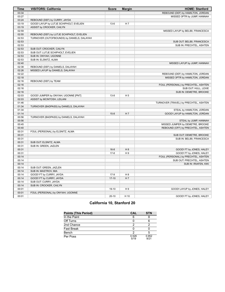| <b>Time</b>    | <b>VISITORS: California</b>                | <b>Score</b> | <b>Margin</b>  | <b>HOME: Stanford</b>                 |
|----------------|--------------------------------------------|--------------|----------------|---------------------------------------|
| 03:34          |                                            |              |                | REBOUND (DEF) by HAMILTON, JORDAN     |
| 03:27          |                                            |              |                | MISSED 3PTR by JUMP, HANNAH           |
| 03:24          | REBOUND (DEF) by CURRY, JAYDA              |              |                |                                       |
| 03:19          | GOOD! LAYUP by LUTJE SCHIPHOLT, EVELIEN    | $13-6$       | H 7            |                                       |
| 03:19          | ASSIST by CROCKER, CAILYN                  |              |                |                                       |
| 02:59          |                                            |              |                | MISSED LAYUP by BELIBI, FRANCESCA     |
| 02:55          | REBOUND (DEF) by LUTJE SCHIPHOLT, EVELIEN  |              |                |                                       |
| 02:53          | TURNOVER (OUTOFBOUNDS) by DANIELS, DALAYAH |              |                |                                       |
| 02:53          |                                            |              |                | SUB OUT: BELIBI, FRANCESCA            |
| 02:53          |                                            |              |                | SUB IN: PRECHTEL, ASHTEN              |
| 02:53          | SUB OUT: CROCKER, CAILYN                   |              |                |                                       |
| 02:53          | SUB OUT: LUTJE SCHIPHOLT, EVELIEN          |              |                |                                       |
| 02:53          | SUB IN: ONYIAH, UGONNE                     |              |                |                                       |
| 02:53          | SUB IN: ELSNITZ, ALMA                      |              |                |                                       |
| 02:40          |                                            |              |                | MISSED LAYUP by JUMP, HANNAH          |
| 02:38          | REBOUND (DEF) by DANIELS, DALAYAH          |              |                |                                       |
| 02:26          | MISSED LAYUP by DANIELS, DALAYAH           |              |                |                                       |
| 02:22          |                                            |              |                | REBOUND (DEF) by HAMILTON, JORDAN     |
| 02:18          |                                            |              |                | MISSED 3PTR by HAMILTON, JORDAN       |
| 02:16          | REBOUND (DEF) by TEAM                      |              |                |                                       |
| 02:16          |                                            |              |                | FOUL (PERSONAL) by PRECHTEL, ASHTEN   |
| 02:16          |                                            |              |                | SUB OUT: HULL, LEXIE                  |
| 02:16          |                                            |              |                | SUB IN: DEMETRE, BROOKE               |
| 02:03          | GOOD! JUMPER by ONYIAH, UGONNE [PNT]       | $13 - 8$     | H <sub>5</sub> |                                       |
| 02:03          | ASSIST by MCINTOSH, LEILANI                |              |                |                                       |
| 01:46          |                                            |              |                | TURNOVER (TRAVEL) by PRECHTEL, ASHTEN |
| 01:34          | TURNOVER (BADPASS) by DANIELS, DALAYAH     |              |                |                                       |
| 01:34          |                                            |              |                | STEAL by HAMILTON, JORDAN             |
| 01:14          |                                            | $15 - 8$     | H 7            | GOOD! LAYUP by HAMILTON, JORDAN       |
| 00:56          | TURNOVER (BADPASS) by DANIELS, DALAYAH     |              |                |                                       |
| 00:56          |                                            |              |                | STEAL by JUMP, HANNAH                 |
| 00:45          |                                            |              |                | MISSED JUMPER by DEMETRE, BROOKE      |
| 00:40          |                                            |              |                | REBOUND (OFF) by PRECHTEL, ASHTEN     |
| 00:31          | FOUL (PERSONAL) by ELSNITZ, ALMA           |              |                |                                       |
| 00:31          |                                            |              |                | SUB OUT: DEMETRE, BROOKE              |
| 00:31          |                                            |              |                | SUB IN: BELIBI, FRANCESCA             |
| 00:31          | SUB OUT: ELSNITZ, ALMA                     |              |                |                                       |
| 00:31          | SUB IN: GREEN, JAZLEN                      |              |                |                                       |
| 00:31          |                                            | $16 - 8$     | H 8            | GOOD! FT by JONES, HALEY              |
| 00:31          |                                            | $17 - 8$     | H9             | GOOD! FT by JONES, HALEY              |
| 00:14          |                                            |              |                | FOUL (PERSONAL) by PRECHTEL, ASHTEN   |
| 00:14          |                                            |              |                | SUB OUT: PRECHTEL, ASHTEN             |
| 00:14          |                                            |              |                | SUB IN: IRIAFEN, KIKI                 |
| 00:14          | SUB OUT: GREEN, JAZLEN                     |              |                |                                       |
| 00:14          | SUB IN: MASTROV, MIA                       |              |                |                                       |
| 00:14          | GOOD! FT by CURRY, JAYDA                   | $17-9$       | H 8            |                                       |
| 00:14          | GOOD! FT by CURRY, JAYDA                   | $17-10$      | H <sub>7</sub> |                                       |
| 00:14          | SUB OUT: CURRY, JAYDA                      |              |                |                                       |
| 00:14          | SUB IN: CROCKER, CAILYN                    |              |                |                                       |
| 00:01          |                                            | $19-10$      | H <sub>9</sub> |                                       |
|                |                                            |              |                | GOOD! LAYUP by JONES, HALEY           |
| 00:01<br>00:01 | FOUL (PERSONAL) by ONYIAH, UGONNE          | $20 - 10$    | H 10           |                                       |
|                |                                            |              |                | GOOD! FT by JONES, HALEY              |

# **California 10, Stanford 20**

| <b>Points (This Period)</b> | CAL           | <b>STN</b>    |
|-----------------------------|---------------|---------------|
| In the Paint                | 6             |               |
| Off Turns                   |               |               |
| 2nd Chance                  | っ             |               |
| <b>Fast Break</b>           |               |               |
| Bench                       |               |               |
| Per Poss                    | 0.526<br>5/19 | 0.952<br>9/21 |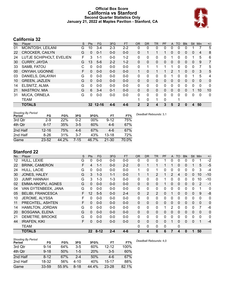### **Official Box Score California vs Stanford Second Quarter Statistics Only January 21, 2022 at Maples Pavilion - Stanford, CA**



# **California 32**

| No. | Plaver                   | S | <b>Pts</b> | <b>FG</b> | 3FG     | <b>FT</b> | <b>OR</b>    | <b>DR</b>    | TR | PF       | A            | TO       | <b>Blk</b> | Stl          | Min      | $+/-$          |
|-----|--------------------------|---|------------|-----------|---------|-----------|--------------|--------------|----|----------|--------------|----------|------------|--------------|----------|----------------|
| 01  | MCINTOSH, LEILANI        | G | 10         | $3 - 4$   | $2 - 3$ | $2 - 2$   | 0            | 0            | 0  | 0        | 0            | 0        | 0          |              |          | 5              |
| 22  | <b>CROCKER, CAILYN</b>   | G | 0          | $0 - 1$   | $0 - 0$ | $0 - 0$   | 0            |              |    |          | 0            | 0        | 0          | $\mathbf{0}$ | 4        | 8              |
| 24  | LUTJE SCHIPHOLT, EVELIEN | F | 3          | 1-1       | $0 - 0$ | $1 - 2$   | 0            | 0            | 0  | 0        |              | 0        | 0          |              | 5        | 6              |
| 30  | <b>CURRY, JAYDA</b>      | G | 13         | $5-6$     | $2 - 2$ | $1 - 2$   | 0            | $\mathbf{0}$ | 0  | 0        | $\mathbf{0}$ | 0        | 0          | $\mathbf{0}$ | 9        | $\overline{7}$ |
| 33  | SAMB, FATOU              | С | 0          | $0 - 0$   | $0 - 0$ | $0-0$     | 0            |              |    |          |              | 0        | $\Omega$   | 0            | 7        | 5              |
| 00  | <b>ONYIAH, UGONNE</b>    | F | 0          | $0 - 0$   | $0 - 0$ | $0 - 0$   | 1            | 0            |    |          | 2            |          | 0          | $\mathbf{0}$ | 3        | 5              |
| 03  | DANIELS, DALAYAH         | G | 0          | $0 - 0$   | $0 - 0$ | $0-0$     | 0            | 0            | 0  | 0        |              | 0        | 0          |              | 5        | 4              |
| 10  | <b>GREEN, JAZLEN</b>     | G | 0          | $0 - 0$   | $0 - 0$ | $0 - 0$   | $\Omega$     | $\mathbf{0}$ | 0  | 0        | $\mathbf{0}$ | 0        | $\Omega$   | $\Omega$     | $\Omega$ | $\mathbf{0}$   |
| 14  | ELSNITZ, ALMA            | G | 0          | $0 - 0$   | $0 - 0$ | $0 - 0$   | 0            | $\Omega$     | 0  | 0        | 0            | 0        | 0          | $\Omega$     | $\Omega$ | $\mathbf{0}$   |
| 21  | <b>MASTROV, MIA</b>      | G | 6          | $3 - 4$   | $0 - 1$ | $0 - 0$   | $\Omega$     | $\mathbf{0}$ | 0  | $\Omega$ | $\mathbf{0}$ | $\Omega$ | $\Omega$   |              | 10       | 10             |
| 31  | <b>MUCA, ORNELA</b>      | G | U          | $0 - 0$   | $0 - 0$ | $0 - 0$   | $\Omega$     | $\Omega$     | 0  | $\Omega$ | $\Omega$     | 0        | $\Omega$   | $\Omega$     | $\Omega$ | $\mathbf{0}$   |
|     | <b>TEAM</b>              |   |            |           |         |           |              | $\Omega$     | 1  | 0        |              |          |            |              |          |                |
|     | <b>TOTALS</b>            |   |            | 32 12-16  | $4 - 6$ | $4 - 6$   | $\mathbf{2}$ | 2            | 4  | 3        | 5            | 2        | 0          | 4            | 50       |                |

| <b>Shooting By Period</b><br>Period | FG        | FG%   | 3FG      | 3FG%   | FT        | FT%   | Deadball Rebounds: 3.1 |
|-------------------------------------|-----------|-------|----------|--------|-----------|-------|------------------------|
| 3rd Qtr                             | $2-9$     | 22%   | $0 - 2$  | $00\%$ | $9 - 12$  | 75%   |                        |
| 4th Qtr                             | $6 - 17$  | 35%   | $3-5$    | 60%    | $4-6$     | 67%   |                        |
| 2nd Half                            | $12 - 16$ | 75%   | 4-6      | 67%    | $4-6$     | 67%   |                        |
| 2nd Half                            | $8 - 26$  | 31%   | $3 - 7$  | 43%    | $13 - 18$ | 72%   |                        |
| Game                                | $23 - 52$ | 44.2% | $7 - 15$ | 46.7%  | $21 - 30$ | 70.0% |                        |

# **Stanford 22**

| No. | Player                   | S | Pts             | FG.      | 3FG     | <b>FT</b> | <b>OR</b>    | <b>DR</b>      | <b>TR</b>      | PF | A            | <b>TO</b> | <b>Blk</b>   | Stl          | Min          | $+/-$       |
|-----|--------------------------|---|-----------------|----------|---------|-----------|--------------|----------------|----------------|----|--------------|-----------|--------------|--------------|--------------|-------------|
| 12  | HULL, LEXIE              | G | 0               | $0-0$    | $0-0$   | $0-0$     | 0            | 0              | 0              |    | 0            | 0         | 0            | 0            |              | $-2$        |
| 22  | <b>BRINK, CAMERON</b>    | F | 4               | $1 - 1$  | $0 - 0$ | $2 - 2$   | 0            | 1              | $\mathbf{1}$   |    |              | $\Omega$  | $\mathbf{0}$ |              | 5            | $-5$        |
| 24  | HULL, LACIE              | G | 0               | $0 - 0$  | $0 - 0$ | $0 - 0$   | 1            | 0              | 1              | 0  | 0            | $\Omega$  | 0            | 0            | 3            | $-4$        |
| 30  | JONES, HALEY             | G | 3               | $1 - 3$  | $1 - 1$ | $0 - 0$   | 1            | $\mathbf 1$    | $\overline{2}$ |    | 2            | 4         | $\Omega$     | $\Omega$     | 10           | $-10$       |
| 33  | <b>JUMP, HANNAH</b>      | G | 3               | $1 - 3$  | $1 - 3$ | $0-0$     | 0            | 0              | 0              |    | 0            | 0         | 0            | 0            | 10           | $-10$       |
| 02  | <b>EMMA-NNOPU, AGNES</b> | G | $\Omega$        | $0 - 0$  | $0 - 0$ | $0 - 0$   | $\Omega$     | 0              | $\mathbf 0$    |    | 0            | 0         | 0            | $\mathbf{0}$ | 2            | $-1$        |
| 04  | VAN GYTENBEEK, JANA      | G | $\Omega$        | $0 - 0$  | $0 - 0$ | $0 - 0$   | 0            | $\mathbf{0}$   | $\mathbf{0}$   | 0  | 0            | $\Omega$  | 0            | $\mathbf{0}$ |              | 0           |
| 05  | <b>BELIBI, FRANCESCA</b> | F | 12              | $5 - 5$  | $0 - 0$ | $2 - 4$   | 0            | $\overline{2}$ | $\overline{2}$ | 0  |              | $\Omega$  | $\Omega$     | $\Omega$     | 9            | -8          |
| 10  | JEROME, ALYSSA           | F | 0               | $0 - 0$  | $0 - 0$ | $0-0$     | 0            | 0              | $\mathbf{0}$   | 0  | 0            | 0         | 0            | 0            | 0            | 0           |
| 11  | PRECHTEL, ASHTEN         | F | $\Omega$        | $0 - 0$  | $0 - 0$ | $0-0$     | $\Omega$     | $\Omega$       | $\mathbf{0}$   | 0  | $\mathbf{0}$ | $\Omega$  | $\Omega$     | $\Omega$     | $\Omega$     | 0           |
| 14  | HAMILTON, JORDAN         | G | $\Omega$        | $0 - 0$  | $0 - 0$ | $0-0$     | 0            | 0              | $\pmb{0}$      |    | 2            | $\Omega$  | 0            | 0            |              | $-6$        |
| 20  | <b>BOSGANA, ELENA</b>    | G | $\Omega$        | $0 - 0$  | $0 - 0$ | $0 - 0$   | $\Omega$     | 0              | $\Omega$       | 0  | 0            | $\Omega$  | $\Omega$     | $\mathbf{0}$ | $\mathbf{0}$ | $\mathbf 0$ |
| 21  | DEMETRE, BROOKE          | G | $\Omega$        | $0 - 0$  | $0 - 0$ | $0 - 0$   | 0            | 0              | $\mathbf{0}$   | 0  | 0            | $\Omega$  | 0            | $\Omega$     | 0            | 0           |
| 44  | <b>IRIAFEN, KIKI</b>     | F | 0               | $0 - 0$  | $0 - 0$ | $0 - 0$   | 0            | 0              | $\mathbf{0}$   | 0  |              | $\Omega$  | 0            | $\Omega$     | 1            | $-4$        |
|     | <b>TEAM</b>              |   |                 |          |         |           | 0            | 0              | $\mathbf{0}$   | 0  |              | 0         |              |              |              |             |
|     | <b>TOTALS</b>            |   | 22 <sub>2</sub> | $8 - 12$ | $2 - 4$ | $4 - 6$   | $\mathbf{2}$ | 4              | 6              | 6  |              | 4         | 0            | 1            | 50           |             |

| Shooting By Period |           |       |          |       |           |       |
|--------------------|-----------|-------|----------|-------|-----------|-------|
| Period             | FG        | FG%   | 3FG      | 3FG%  | FT        | FT%   |
| 3rd Otr            | $9 - 14$  | 64%   | $3-5$    | 60%   | $12 - 12$ | 100%  |
| 4th Qtr            | $9 - 18$  | 50%   | $1 - 5$  | 20%   | $3-5$     | 60%   |
| 2nd Half           | $8 - 12$  | 67%   | $2 - 4$  | 50%   | 4-6       | 67%   |
| 2nd Half           | 18-32     | 56%   | $4 - 10$ | 40%   | 15-17     | 88%   |
| Game               | $33 - 59$ | 55.9% | 8-18     | 44.4% | $23 - 28$ | 82.1% |

*Deadball Rebounds:* 4,0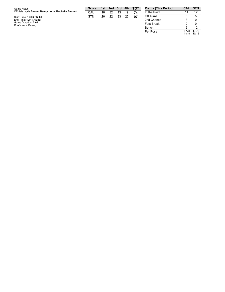| Game Notes:                                         | <b>Score</b> |    | 1st 2nd | 3rd | 4th | тот | <b>Points (This</b> |
|-----------------------------------------------------|--------------|----|---------|-----|-----|-----|---------------------|
| Officials: Kyle Bacon, Benny Luna, Rochelle Bennett | CAL          | 10 | 32      | 13  | 19  | 74  | In the Paint        |
| Start Time: 10:06 PM ET                             | <b>STN</b>   | 20 | 22      | 33  | 22  | 97  | Off Turns           |
| End Time: 12:11 AM ET                               |              |    |         |     |     |     | 2nd Chance          |
| Game Duration: 2:04<br>Conference Game;             |              |    |         |     |     |     | <b>Fast Break</b>   |
|                                                     |              |    |         |     |     |     | $ -$                |

| <b>Points (This Period)</b> | CAL            | <b>STN</b>     |
|-----------------------------|----------------|----------------|
| In the Paint                | 14             | 12             |
| Off Turns                   | 5              | 5              |
| 2nd Chance                  | 3              | ი              |
| <b>Fast Break</b>           | 2              | n              |
| Bench                       | 6              | 12             |
| Per Poss                    | 1.778<br>14/18 | 1.375<br>10/16 |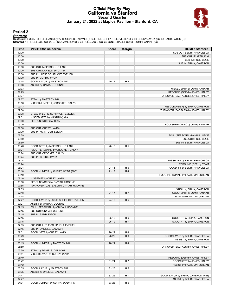### **Official Play-By-Play California vs Stanford Second Quarter January 21, 2022 at Maples Pavilion - Stanford, CA**



### **Period 2**

<mark>Starters:</mark><br>California: 1 MCINTOSH,LEILANI (G); 22 CROCKER,CAILYN (G); 24 LUTJE SCHIPHOLT,EVELIEN (F); 30 CURRY,JAYDA (G); 33 SAMB,FATOU (C);<br>**Stanford**: 12 HULL,LEXIE (G); 22 BRINK,CAMERON (F); 24 HULL,LACIE (G); 30 JONES

| Time           | <b>VISITORS: California</b>                                           | <b>Score</b> | <b>Margin</b>  | <b>HOME: Stanford</b>                                              |
|----------------|-----------------------------------------------------------------------|--------------|----------------|--------------------------------------------------------------------|
| 10:00          |                                                                       |              |                | SUB OUT: BELIBI, FRANCESCA                                         |
| 10:00          |                                                                       |              |                | SUB OUT: IRIAFEN, KIKI                                             |
| 10:00          |                                                                       |              |                | SUB IN: HULL, LEXIE                                                |
| 10:00          |                                                                       |              |                | SUB IN: BRINK, CAMERON                                             |
| 10:00          | SUB OUT: MCINTOSH, LEILANI                                            |              |                |                                                                    |
| 10:00          | SUB OUT: DANIELS, DALAYAH                                             |              |                |                                                                    |
| 10:00          | SUB IN: LUTJE SCHIPHOLT, EVELIEN                                      |              |                |                                                                    |
| 10:00          | SUB IN: CURRY, JAYDA                                                  |              |                |                                                                    |
| 09:48          | GOOD! LAYUP by MASTROV, MIA                                           | $20 - 12$    | H 8            |                                                                    |
| 09:48<br>09:33 | ASSIST by ONYIAH, UGONNE                                              |              |                | MISSED 3PTR by JUMP, HANNAH                                        |
| 09:29          |                                                                       |              |                | REBOUND (OFF) by JONES, HALEY                                      |
| 09:27          |                                                                       |              |                | TURNOVER (BADPASS) by JONES, HALEY                                 |
| 09:27          | STEAL by MASTROV, MIA                                                 |              |                |                                                                    |
| 09:16          | MISSED JUMPER by CROCKER, CAILYN                                      |              |                |                                                                    |
| 09:13          |                                                                       |              |                | REBOUND (DEF) by BRINK, CAMERON                                    |
| 09:08          |                                                                       |              |                | TURNOVER (BADPASS) by JONES, HALEY                                 |
| 09:08          | STEAL by LUTJE SCHIPHOLT, EVELIEN                                     |              |                |                                                                    |
| 09:01          | MISSED 3PTR by MASTROV, MIA                                           |              |                |                                                                    |
| 09:00          | REBOUND (OFF) by TEAM                                                 |              |                |                                                                    |
| 09:00          |                                                                       |              |                | FOUL (PERSONAL) by JUMP, HANNAH                                    |
| 09:00          | SUB OUT: CURRY, JAYDA                                                 |              |                |                                                                    |
| 09:00          | SUB IN: MCINTOSH, LEILANI                                             |              |                |                                                                    |
| 08:59          |                                                                       |              |                | FOUL (PERSONAL) by HULL, LEXIE                                     |
| 08:59          |                                                                       |              |                | SUB OUT: HULL, LEXIE                                               |
| 08:59          |                                                                       |              |                | SUB IN: BELIBI, FRANCESCA                                          |
| 08:46<br>08:24 | GOOD! 3PTR by MCINTOSH, LEILANI<br>FOUL (PERSONAL) by CROCKER, CAILYN | $20 - 15$    | H <sub>5</sub> |                                                                    |
| 08:24          | SUB OUT: CROCKER, CAILYN                                              |              |                |                                                                    |
| 08:24          | SUB IN: CURRY, JAYDA                                                  |              |                |                                                                    |
| 08:24          |                                                                       |              |                | MISSED FT by BELIBI, FRANCESCA                                     |
| 08:24          |                                                                       |              |                | REBOUND (OFF) by TEAM                                              |
| 08:24          |                                                                       | $21 - 15$    | H <sub>6</sub> | GOOD! FT by BELIBI, FRANCESCA                                      |
| 08:10          | GOOD! JUMPER by CURRY, JAYDA [PNT]                                    | $21 - 17$    | H4             |                                                                    |
| 08:10          |                                                                       |              |                | FOUL (PERSONAL) by HAMILTON, JORDAN                                |
| 08:10          | MISSED FT by CURRY, JAYDA                                             |              |                |                                                                    |
| 08:10          | REBOUND (OFF) by ONYIAH, UGONNE                                       |              |                |                                                                    |
| 07:55          | TURNOVER (LOSTBALL) by ONYIAH, UGONNE                                 |              |                |                                                                    |
| 07:55          |                                                                       |              |                | STEAL by BRINK, CAMERON                                            |
| 07:48          |                                                                       | $24 - 17$    | H <sub>7</sub> | GOOD! 3PTR by JUMP, HANNAH                                         |
| 07:48          |                                                                       |              |                | ASSIST by HAMILTON, JORDAN                                         |
| 07:27          | GOOD! LAYUP by LUTJE SCHIPHOLT, EVELIEN                               | $24-19$      | H <sub>5</sub> |                                                                    |
| 07:27          | ASSIST by ONYIAH, UGONNE                                              |              |                |                                                                    |
| 07:15<br>07:15 | FOUL (PERSONAL) by ONYIAH, UGONNE<br>SUB OUT: ONYIAH, UGONNE          |              |                |                                                                    |
| 07:15          | SUB IN: SAMB, FATOU                                                   |              |                |                                                                    |
| 07:15          |                                                                       | $25-19$      | H <sub>6</sub> | GOOD! FT by BRINK, CAMERON                                         |
| 07:15          |                                                                       | $26-19$      | H 7            | GOOD! FT by BRINK, CAMERON                                         |
| 07:15          | SUB OUT: LUTJE SCHIPHOLT, EVELIEN                                     |              |                |                                                                    |
| 07:15          | SUB IN: DANIELS, DALAYAH                                              |              |                |                                                                    |
| 07:01          | GOOD! 3PTR by CURRY, JAYDA                                            | 26-22        | H4             |                                                                    |
| 06:49          |                                                                       | 28-22        | H <sub>6</sub> | GOOD! LAYUP by BELIBI, FRANCESCA                                   |
| 06:49          |                                                                       |              |                | ASSIST by BRINK, CAMERON                                           |
| 06:15          | GOOD! JUMPER by MASTROV, MIA                                          | 28-24        | H4             |                                                                    |
| 05:59          |                                                                       |              |                | TURNOVER (BADPASS) by JONES, HALEY                                 |
| 05:59          | STEAL by DANIELS, DALAYAH                                             |              |                |                                                                    |
| 05:51          | MISSED LAYUP by CURRY, JAYDA                                          |              |                |                                                                    |
| 05:49          |                                                                       |              |                | REBOUND (DEF) by JONES, HALEY                                      |
| 05:42          |                                                                       | $31 - 24$    | H 7            | GOOD! 3PTR by JONES, HALEY                                         |
| 05:42          |                                                                       |              |                | ASSIST by HAMILTON, JORDAN                                         |
| 05:05          | GOOD! LAYUP by MASTROV, MIA                                           | 31-26        | H <sub>5</sub> |                                                                    |
| 05:05<br>04:47 | ASSIST by DANIELS, DALAYAH                                            |              |                |                                                                    |
| 04:47          |                                                                       | 33-26        | H 7            | GOOD! LAYUP by BRINK, CAMERON [PNT]<br>ASSIST by BELIBI, FRANCESCA |
| 04:31          | GOOD! JUMPER by CURRY, JAYDA [PNT]                                    | 33-28        | H <sub>5</sub> |                                                                    |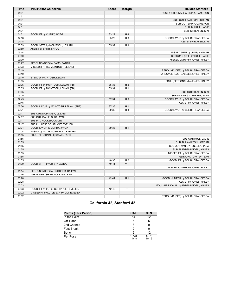| Time  | <b>VISITORS: California</b>            | <b>Score</b> | <b>Margin</b>  | <b>HOME: Stanford</b>                |
|-------|----------------------------------------|--------------|----------------|--------------------------------------|
| 04:31 |                                        |              |                | FOUL (PERSONAL) by BRINK, CAMERON    |
| 04:31 |                                        |              |                |                                      |
| 04:31 |                                        |              |                | SUB OUT: HAMILTON, JORDAN            |
| 04:31 |                                        |              |                | SUB OUT: BRINK, CAMERON              |
| 04:31 |                                        |              |                | SUB IN: HULL, LACIE                  |
| 04:31 |                                        |              |                | SUB IN: IRIAFEN, KIKI                |
| 04:31 | GOOD! FT by CURRY, JAYDA               | 33-29        | H <sub>4</sub> |                                      |
| 04:18 |                                        | 35-29        | H <sub>6</sub> | GOOD! LAYUP by BELIBI, FRANCESCA     |
| 04:18 |                                        |              |                | ASSIST by IRIAFEN, KIKI              |
| 03:59 | GOOD! 3PTR by MCINTOSH, LEILANI        | 35-32        | $H_3$          |                                      |
| 03:59 | ASSIST by SAMB, FATOU                  |              |                |                                      |
| 03:44 |                                        |              |                | MISSED 3PTR by JUMP, HANNAH          |
| 03:40 |                                        |              |                | REBOUND (OFF) by HULL, LACIE         |
| 03:30 |                                        |              |                | MISSED LAYUP by JONES, HALEY         |
| 03:27 | REBOUND (DEF) by SAMB, FATOU           |              |                |                                      |
| 03:23 | MISSED 3PTR by MCINTOSH, LEILANI       |              |                |                                      |
| 03:19 |                                        |              |                | REBOUND (DEF) by BELIBI, FRANCESCA   |
| 03:10 |                                        |              |                | TURNOVER (LOSTBALL) by JONES, HALEY  |
| 03:10 | STEAL by MCINTOSH, LEILANI             |              |                |                                      |
| 03:05 |                                        |              |                | FOUL (PERSONAL) by JONES, HALEY      |
| 03:05 | GOOD! FT by MCINTOSH, LEILANI [FB]     | 35-33        | H <sub>2</sub> |                                      |
| 03:05 | GOOD! FT by MCINTOSH, LEILANI [FB]     | 35-34        | H <sub>1</sub> |                                      |
| 03:05 |                                        |              |                | SUB OUT: IRIAFEN, KIKI               |
| 03:05 |                                        |              |                | SUB IN: VAN GYTENBEEK, JANA          |
| 02:45 |                                        | 37-34        | $H_3$          | GOOD! LAYUP by BELIBI, FRANCESCA     |
| 02:45 |                                        |              |                | ASSIST by JONES, HALEY               |
| 02:36 | GOOD! LAYUP by MCINTOSH, LEILANI [PNT] | 37-36        | H1             |                                      |
| 02:21 |                                        | 39-36        | $H_3$          | GOOD! LAYUP by BELIBI, FRANCESCA     |
| 02:17 | SUB OUT: MCINTOSH, LEILANI             |              |                |                                      |
| 02:17 | SUB OUT: DANIELS, DALAYAH              |              |                |                                      |
| 02:17 | SUB IN: CROCKER, CAILYN                |              |                |                                      |
| 02:17 | SUB IN: LUTJE SCHIPHOLT, EVELIEN       |              |                |                                      |
| 02:04 | GOOD! LAYUP by CURRY, JAYDA            | 39-38        | H <sub>1</sub> |                                      |
| 02:04 | ASSIST by LUTJE SCHIPHOLT, EVELIEN     |              |                |                                      |
| 01:55 | FOUL (PERSONAL) by SAMB, FATOU         |              |                |                                      |
| 01:55 |                                        |              |                | SUB OUT: HULL, LACIE                 |
| 01:55 |                                        |              |                | SUB IN: HAMILTON, JORDAN             |
| 01:55 |                                        |              |                | SUB OUT: VAN GYTENBEEK, JANA         |
| 01:55 |                                        |              |                | SUB IN: EMMA-NNOPU, AGNES            |
| 01:55 |                                        |              |                | MISSED FT by BELIBI, FRANCESCA       |
| 01:55 |                                        |              |                | REBOUND (OFF) by TEAM                |
| 01:55 |                                        | 40-38        | H <sub>2</sub> | GOOD! FT by BELIBI, FRANCESCA        |
| 01:39 | GOOD! 3PTR by CURRY, JAYDA             | $40 - 41$    | V <sub>1</sub> |                                      |
| 01:17 |                                        |              |                | MISSED JUMPER by JONES, HALEY        |
| 01:14 | REBOUND (DEF) by CROCKER, CAILYN       |              |                |                                      |
| 00:46 | TURNOVER (SHOTCLOCK) by TEAM           |              |                |                                      |
| 00:28 |                                        | $42 - 41$    | H <sub>1</sub> | GOOD! JUMPER by BELIBI, FRANCESCA    |
| 00:28 |                                        |              |                | ASSIST by JONES, HALEY               |
| 00:03 |                                        |              |                | FOUL (PERSONAL) by EMMA-NNOPU, AGNES |
| 00:03 | GOOD! FT by LUTJE SCHIPHOLT, EVELIEN   | 42-42        | $\mathsf T$    |                                      |
| 00:02 | MISSED FT by LUTJE SCHIPHOLT, EVELIEN  |              |                |                                      |
| 00:02 |                                        |              |                | REBOUND (DEF) by BELIBI, FRANCESCA   |
|       |                                        |              |                |                                      |

# **California 42, Stanford 42**

| <b>Points (This Period)</b> | <b>CAL</b>     | <b>STN</b>     |
|-----------------------------|----------------|----------------|
| In the Paint                | 14             | 12             |
| Off Turns                   | 5              |                |
| 2nd Chance                  | 3              |                |
| <b>Fast Break</b>           | າ              |                |
| Bench                       |                | 12             |
| Per Poss                    | 1.778<br>14/18 | 1.375<br>10/16 |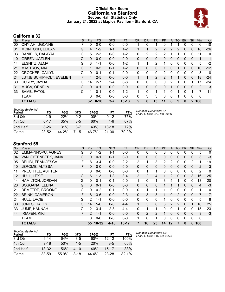### **Official Box Score California vs Stanford Second Half Statistics Only January 21, 2022 at Maples Pavilion - Stanford, CA**



# **California 32**

| No. | Player                   | S  | <b>Pts</b>      | FG       | 3FG     | <b>FT</b> | <b>OR</b> | <b>DR</b> | <b>TR</b>    | PF            | A | <b>TO</b> | <b>Blk</b>  | Stl          | Min | $+/-$ |
|-----|--------------------------|----|-----------------|----------|---------|-----------|-----------|-----------|--------------|---------------|---|-----------|-------------|--------------|-----|-------|
| 00  | ONYIAH, UGONNE           | F  | 0               | $0-0$    | $0 - 0$ | $0-0$     |           | 0         |              | 0             |   |           | 0           | 0            | 6   | $-10$ |
| 01  | MCINTOSH, LEILANI        | G  | 4               | $1 - 2$  | $1 - 1$ | $1 - 2$   |           | 1         | 2            | 2             | 2 | 2         | $\Omega$    | $\mathbf{0}$ | 18  | $-26$ |
| 03  | DANIELS, DALAYAH         | G  | 5               | $2 - 3$  | $0 - 0$ | $1 - 2$   | 0         | 2         | 2            | 2             |   |           | 0           | 0            | 11  | 0     |
| 10  | <b>GREEN, JAZLEN</b>     | G  | $\Omega$        | $0 - 0$  | $0 - 0$ | $0 - 0$   | $\Omega$  | 0         | $\mathbf{0}$ | 0             | 0 | $\Omega$  | 0           | 0            | 1   | -1    |
| 14  | ELSNITZ, ALMA            | G  | 3               | $1 - 1$  | $0 - 0$ | $1 - 2$   | 1         | 1         | 2            | 1             | 0 | 0         | $\mathbf 0$ | 0            | 5   | $-2$  |
| 21  | <b>MASTROV, MIA</b>      | G  |                 | $0 - 5$  | $0 - 1$ | $1-2$     | 0         | 0         | 0            |               | 0 |           | 0           | 0            | 10  | $-12$ |
| 22  | <b>CROCKER, CAILYN</b>   | G  | 0               | $0 - 1$  | $0 - 1$ | $0 - 0$   | 0         | 0         | 0            | 2             | 0 | 0         | 0           | 0            | 3   | -8    |
| 24  | LUTJE SCHIPHOLT, EVELIEN | F. | 4               | $2 - 5$  | $0 - 0$ | $0 - 0$   | 1         | 1         | 2            | $\mathcal{P}$ |   | 1         | $\Omega$    | $\Omega$     | 18  | $-24$ |
| 30  | CURRY, JAYDA             | G  | 14              | $2 - 7$  | $2 - 4$ | $8 - 8$   | 0         | 0         | 0            | 0             | 2 |           | 0           |              | 17  | $-24$ |
| 31  | <b>MUCA, ORNELA</b>      | G  | $\Omega$        | $0 - 1$  | $0 - 0$ | $0 - 0$   | $\Omega$  | 0         | $\Omega$     | $\Omega$      |   | 0         | 0           | $\Omega$     | 2   | 3     |
| 33  | SAMB, FATOU              | C  | 1               | $0 - 1$  | $0 - 0$ | $1 - 2$   | 1         | $\Omega$  |              | 1             | 0 | 1         | 0           | 1            | 7   | $-11$ |
|     | <b>TEAM</b>              |    | 0               | $0 - 0$  | $0 - 0$ | $0 - 0$   | 0         | 3         | 3            | 0             | 0 |           | $\Omega$    | 0            | 0   |       |
|     | <b>TOTALS</b>            |    | 32 <sub>2</sub> | $8 - 26$ | $3 - 7$ | $13 - 18$ | 5         | 8         | 13           | 11            | 8 | 9         | 0           | $\mathbf{2}$ | 100 |       |

| Shooting By Period<br>Period | FG        | FG%   | 3FG     | 3FG%   | FT        | FT%   | Dea<br>.as |
|------------------------------|-----------|-------|---------|--------|-----------|-------|------------|
| 3rd Qtr                      | $2-9$     | 22%   | በ-2     | $00\%$ | $9 - 12$  | 75%   |            |
| 4th Qtr                      | $6 - 17$  | 35%   | $3-5$   | 60%    | $4-6$     | 67%   |            |
| 2nd Half                     | $8 - 26$  | 31%   | $3 - 7$ | 43%    | $13 - 18$ | 72%   |            |
| Game                         | $23 - 52$ | 44.2% | 7-15    | 46.7%  | $21 - 30$ | 70.0% |            |

*Deadball Rebounds:* 3,1 *Last FG Half:* CAL 4th-00:36

# **Stanford 55**

| No. | Player                   | S  | Pts      | FG      | 3FG      | <b>FT</b> | <b>OR</b>    | DR           | TR             | PF       | A              | TO       | <b>Blk</b> | Stl         | Min            | $+/-$ |
|-----|--------------------------|----|----------|---------|----------|-----------|--------------|--------------|----------------|----------|----------------|----------|------------|-------------|----------------|-------|
| 02  | EMMA-NNOPU, AGNES        | G  | 3        | $1 - 2$ | 1-1      | $0 - 0$   | 0            | 0            | 0              | $\Omega$ | 0              | 0        | 0          | 0           | 5              | 0     |
| 04  | VAN GYTENBEEK, JANA      | G  | 0        | $0 - 1$ | $0 - 1$  | $0 - 0$   | 0            | 0            | $\mathbf 0$    | 0        | 0              | 0        | 0          | $\Omega$    | 3              | $-3$  |
| 05  | <b>BELIBI, FRANCESCA</b> | F. | 8        | $3 - 4$ | $0 - 0$  | $2 - 2$   | 2            | $\mathbf{1}$ | 3              | 2        | 2              | 0        | 0          | 2           | 11             | 19    |
| 10  | JEROME, ALYSSA           | F  | 0        | $0 - 0$ | $0 - 0$  | $0 - 0$   | $\mathbf{0}$ | 0            | $\mathbf{0}$   | 0        | 0              | 0        | 0          | 0           | 2              | $-3$  |
| 11  | PRECHTEL, ASHTEN         | F  | 0        | $0-0$   | $0 - 0$  | $0 - 0$   | $\mathbf{0}$ | 1            | 1              | 0        | 0              | 0        | 0          | 0           | 2              | 0     |
| 12  | HULL, LEXIE              | G  | 6        | $1 - 3$ | $1 - 3$  | $3 - 4$   | 2            | 2            | $\overline{4}$ |          | $\overline{2}$ | $\Omega$ | $\Omega$   | 3           | 16             | 25    |
| 14  | HAMILTON, JORDAN         | G  | 0        | $0 - 1$ | $0 - 1$  | $0 - 0$   | 1            | 0            | 1              | 3        | 5              | 1        | 0          | 0           | 13             | 20    |
| 20  | <b>BOSGANA, ELENA</b>    | G  | $\Omega$ | $0 - 1$ | $0 - 0$  | $0 - 0$   | $\mathbf{0}$ | 0            | $\mathbf{0}$   |          |                |          | 0          | $\Omega$    | $\overline{4}$ | $-3$  |
| 21  | DEMETRE, BROOKE          | G  | 0        | $0 - 2$ | $0 - 1$  | $0 - 0$   | 0            | 1            | 1              |          | 0              | 0        | 0          | $\mathbf 0$ | 1              | 0     |
| 22  | <b>BRINK, CAMERON</b>    | F  | 8        | $3-6$   | $0 - 0$  | $2 - 3$   | $\mathbf{0}$ | 3            | 3              |          | 0              | 2        | 0          | $\Omega$    | 7              | 7     |
| 24  | <b>HULL, LACIE</b>       | G  | 2        | $1 - 1$ | $0 - 0$  | $0 - 0$   | $\Omega$     | 0            | $\Omega$       |          | $\Omega$       | $\Omega$ | 0          | $\Omega$    | 5              | 8     |
| 30  | JONES, HALEY             | G  | 14       | $5-6$   | $0 - 0$  | $4 - 4$   | 1            | 5            | 6              | 3        | $\mathfrak{p}$ | 2        | $\Omega$   | и           | 16             | 25    |
| 33  | <b>JUMP, HANNAH</b>      | G  | 12       | $3 - 4$ | $2 - 3$  | 4-4       | $\mathbf{0}$ | 1            | 1              | 0        | 0              | 1        | 0          | 0           | 15             | 23    |
| 44  | <b>IRIAFEN, KIKI</b>     | F  | 2        | $1 - 1$ | $0 - 0$  | $0 - 0$   | $\mathbf{0}$ | 2            | 2              |          | 0              | 0        | 0          | 0           | 3              | $-3$  |
|     | <b>TEAM</b>              |    | 0        | $0 - 0$ | $0 - 0$  | $0 - 0$   |              | 0            | 1              | $\Omega$ | $\Omega$       | 0        | 0          | $\Omega$    | $\mathbf 0$    |       |
|     | <b>TOTALS</b>            |    | 55       | 18-32   | $4 - 10$ | $15 - 17$ | 7            | 16           | 23             | 14       | 12             | 7        | $\Omega$   | 6           | 100            |       |

| <b>Shooting By Period</b><br>Period | FG       | FG%   | 3FG     | 3FG%  | FТ        | FT%     |
|-------------------------------------|----------|-------|---------|-------|-----------|---------|
| 3rd Otr                             | $9 - 14$ | 64%   | $3-5$   | 60%   | $12 - 12$ | 100%    |
| 4th Otr                             | $9 - 18$ | 50%   | $1 - 5$ | 20%   | $3-5$     | 60%     |
| 2nd Half                            | 18-32    | 56%   | 4-10    | 40%   | 15-17     | 88%     |
| Game                                | 33-59    | 55.9% | 8-18    | 44.4% | 23-28     | $821\%$ |

*Deadball Rebounds:* 4,0 *Last FG Half:* STN 4th-00:25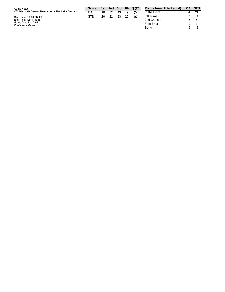| Officials: Kyle Bacon, Benny Luna, Rochelle Bennett                                         |     |    |    |    | 3rd 4th | <b>TOT</b> | <b>Points</b>                 |
|---------------------------------------------------------------------------------------------|-----|----|----|----|---------|------------|-------------------------------|
|                                                                                             | CAL | 10 | 32 | 13 | 19      |            | In the F                      |
| Start Time: 10:06 PM ET<br>End Time: 12:11 AM ET<br>Game Duration: 2:04<br>Conference Game; | STN | 20 | 22 | 33 | 22      | 97         | Off Turi<br>2nd Ch<br>Fast Br |

| <b>Points from (This Period)</b> |   | <b>CAL STN</b> |
|----------------------------------|---|----------------|
| In the Paint                     |   | 24             |
| Off Turns                        |   | 11             |
| 2nd Chance                       | 5 |                |
| <b>Fast Break</b>                |   |                |
| Bench                            |   | 1.3            |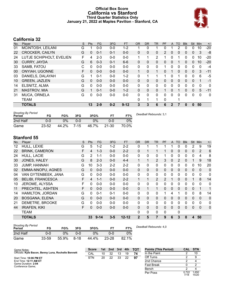### **Official Box Score California vs Stanford Third Quarter Statistics Only January 21, 2022 at Maples Pavilion - Stanford, CA**



# **California 32**

| No. | Plaver                   | S | <b>Pts</b> | FG      | 3FG     | <b>FT</b> | <b>OR</b>    | D <sub>R</sub> | TR       | PF             | A            | TO | <b>Blk</b> | <b>Stl</b>   | Min | $+/-$        |
|-----|--------------------------|---|------------|---------|---------|-----------|--------------|----------------|----------|----------------|--------------|----|------------|--------------|-----|--------------|
| 01  | MCINTOSH, LEILANI        | G |            | $0 - 0$ | $0-0$   | $1 - 2$   |              | 0              | 1        | 0              |              | 2  | 0          | $\mathbf{0}$ | 10  | -20          |
| 22  | <b>CROCKER, CAILYN</b>   | G | 0          | $0 - 1$ | $0 - 1$ | $0 - 0$   | 0            | $\Omega$       | 0        | $\overline{2}$ | $\Omega$     | 0  | 0          | $\mathbf{0}$ | 3   | -8           |
| 24  | LUTJE SCHIPHOLT, EVELIEN | F | 4          | $2 - 3$ | $0 - 0$ | $0 - 0$   | 1            |                | 2        |                | 0            |    | 0          | $\Omega$     | 10  | $-20$        |
| 30  | <b>CURRY, JAYDA</b>      | G | 6          | $0 - 3$ | $0 - 1$ | $6 - 6$   | 0            | 0              | 0        | 0              | $\Omega$     |    | 0          | $\Omega$     | 10  | $-20$        |
| 33  | SAMB, FATOU              | C | 0          | $0 - 0$ | $0 - 0$ | $0 - 0$   | $\mathbf{0}$ | 0              | 0        | 1              | $\Omega$     | 0  | 0          | $\Omega$     | 0   | $-4$         |
| 00  | <b>ONYIAH, UGONNE</b>    | F | 0          | $0 - 0$ | $0 - 0$ | $0 - 0$   | 1            | 0              | 1        | 0              |              | 0  | 0          | $\mathbf{0}$ | 3   | $-11$        |
| 03  | DANIELS, DALAYAH         | G |            | $0 - 1$ | $0 - 0$ | $1 - 2$   | 0            |                |          | 1              | 0            |    | 0          | 0            | 6   | $-5$         |
| 10  | <b>GREEN, JAZLEN</b>     | G | $\Omega$   | $0 - 0$ | $0 - 0$ | $0 - 0$   | $\Omega$     | $\Omega$       | $\Omega$ | 0              | $\Omega$     | 0  | 0          | $\Omega$     | 1   | $-1$         |
| 14  | ELSNITZ, ALMA            | G | 0          | $0 - 0$ | $0 - 0$ | $0 - 0$   | $\mathbf{0}$ | 0              | 0        | 0              | $\Omega$     | 0  | 0          | $\mathbf 0$  | 0   | 0            |
| 21  | <b>MASTROV, MIA</b>      | G | 1          | $0 - 1$ | $0 - 0$ | $1 - 2$   | $\Omega$     | $\mathbf{0}$   | 0        | 1              | 0            | 1  | 0          | $\Omega$     | 5   | $-11$        |
| 31  | MUCA, ORNELA             | G | 0          | $0 - 0$ | $0-0$   | $0 - 0$   | 0            | $\mathbf{0}$   | 0        | 0              | $\Omega$     | 0  | 0          | $\Omega$     | 0   | $\mathbf{0}$ |
|     | <b>TEAM</b>              |   |            |         |         |           | $\Omega$     | 1              |          | $\Omega$       |              |    |            |              |     |              |
|     | <b>TOTALS</b>            |   | 13         | $2 - 9$ | $0 - 2$ | $9 - 12$  | 3            | 3              | 6        | 6              | $\mathbf{2}$ |    | 0          | $\Omega$     | 50  |              |

| <b>Shooting By Period</b><br>Period | FG        | FG%   | 3FG     | 3FG%  |           | FT%   | Deadball Rebounds: 3,1 |
|-------------------------------------|-----------|-------|---------|-------|-----------|-------|------------------------|
| 2nd Half                            | 0-0       | 0%    | $0 - 0$ | $0\%$ | 0-0       | 0%    |                        |
| Game                                | $23 - 52$ | 44.2% | 7-15    | 46.7% | $21 - 30$ | 70.0% |                        |

## **Stanford 55**

| No. | Player                   | S | Pts | <b>FG</b> | 3FG     | <b>FT</b> | <b>OR</b>      | <b>DR</b> | <b>TR</b>      | PF             | A            | TO       | <b>Blk</b> | <b>Stl</b>   | Min            | $+/-$ |
|-----|--------------------------|---|-----|-----------|---------|-----------|----------------|-----------|----------------|----------------|--------------|----------|------------|--------------|----------------|-------|
| 12  | HULL, LEXIE              | G | 5   | $1 - 2$   | $1 - 2$ | $2 - 2$   | 0              |           |                |                |              | 0        | 0          | 2            | 9              | 19    |
| 22  | <b>BRINK, CAMERON</b>    | F | 4   | $1 - 3$   | $0-0$   | $2 - 2$   | 0              |           |                |                | 0            | 0        | 0          | $\mathbf{0}$ | $\overline{2}$ | 6     |
| 24  | HULL, LACIE              | G | 2   | $1 - 1$   | $0 - 0$ | $0 - 0$   | 0              | 0         | 0              |                | $\Omega$     | 0        | 0          | 0            | 4              | 8     |
| 30  | JONES, HALEY             | G | 8   | $2 - 3$   | $0 - 0$ | $4 - 4$   | $\mathbf{1}$   |           | 2              | 3              | $\mathbf{0}$ | 2        | 0          |              | 9              | 18    |
| 33  | JUMP, HANNAH             | G | 10  | $3 - 3$   | $2 - 2$ | $2 - 2$   | $\mathbf{0}$   | 0         | 0              | 0              | 0            | 0        | 0          | $\mathbf{0}$ | 10             | 20    |
| 02  | EMMA-NNOPU, AGNES        | G | 0   | $0 - 0$   | $0 - 0$ | $0 - 0$   | $\Omega$       | $\Omega$  | 0              | $\Omega$       | $\Omega$     | 0        | $\Omega$   | 0            | $\Omega$       | 0     |
| 04  | VAN GYTENBEEK, JANA      | G | 0   | $0 - 0$   | $0 - 0$ | $0 - 0$   | 0              | 0         | 0              | 0              | $\Omega$     | 0        | 0          | 0            | 0              | 0     |
| 05  | <b>BELIBI, FRANCESCA</b> | F | 4   | $1 - 1$   | $0 - 0$ | $2 - 2$   | $\mathbf{1}$   |           | $\overline{2}$ | $\overline{2}$ |              | $\Omega$ | 0          |              | 8              | 14    |
| 10  | JEROME, ALYSSA           | F | 0   | $0-0$     | $0-0$   | $0-0$     | 0              | 0         | 0              | 0              | 0            | 0        | 0          | 0            | 0              | 0     |
| 11  | PRECHTEL, ASHTEN         | F | 0   | $0 - 0$   | $0 - 0$ | $0 - 0$   | $\mathbf{0}$   |           | 1              | 0              | $\mathbf{0}$ | $\Omega$ | 0          | $\mathbf{0}$ | 1              | 1     |
| 14  | HAMILTON, JORDAN         | G | 0   | $0 - 1$   | $0 - 1$ | $0 - 0$   | $\Omega$       | $\Omega$  | 0              |                | 4            |          | 0          | 0            | 8              | 14    |
| 20  | <b>BOSGANA, ELENA</b>    | G | 0   | $0 - 0$   | $0 - 0$ | $0 - 0$   | $\mathbf{0}$   | 0         | 0              | 0              | $\Omega$     | 0        | 0          | 0            | $\Omega$       | 0     |
| 21  | DEMETRE, BROOKE          | G | 0   | $0-0$     | $0 - 0$ | $0 - 0$   | $\Omega$       | 0         | 0              | 0              | 0            | 0        | 0          | 0            | 0              | 0     |
| 44  | <b>IRIAFEN, KIKI</b>     | F | 0   | $0 - 0$   | $0 - 0$ | $0 - 0$   | $\Omega$       | $\Omega$  | 0              | $\Omega$       | $\Omega$     | $\Omega$ | $\Omega$   | $\Omega$     | $\mathbf{0}$   | 0     |
|     | <b>TEAM</b>              |   |     |           |         |           | 0              | 0         | 0              | 0              |              | 0        |            |              |                |       |
|     | <b>TOTALS</b>            |   | 33  | $9 - 14$  | $3 - 5$ | $12 - 12$ | $\overline{2}$ | 5         | 7              | 9              | 6            | 3        | 0          | 4            | 50             |       |
|     |                          |   |     |           |         |           |                |           |                |                |              |          |            |              |                |       |

| <b>Shooting By Period</b><br>Period | FG    | FG%   | 3FG  | 3FG%  | FТ        | FT%   | Dea |
|-------------------------------------|-------|-------|------|-------|-----------|-------|-----|
| 2nd Half                            | 0-0   | ገ%    | 0-0  | 0%    | 0-0       | $0\%$ |     |
| Game                                | 33-59 | 55.9% | 8-18 | 44.4% | $23 - 28$ | 82.1% |     |

*Deadball Rebounds:* 4,0

| Game Notes:                                         | <b>Score</b> |    | 1st 2nd | 3rd | 4th | <b>TOT</b> | <b>Points (This Period)</b> | <b>CAL</b>    | . STN          |
|-----------------------------------------------------|--------------|----|---------|-----|-----|------------|-----------------------------|---------------|----------------|
| Officials: Kyle Bacon, Benny Luna, Rochelle Bennett | CAL          | 10 | 32      | 13  | 19  | 74         | In the Paint                |               | 10             |
| Start Time: 10:06 PM ET                             | <b>STN</b>   | 20 | 22      | 33  | 22  | 97         | Off Turns                   |               |                |
| End Time: 12:11 AM ET                               |              |    |         |     |     |            | 2nd Chance                  |               |                |
| Game Duration: 2:04<br>Conference Game:             |              |    |         |     |     |            | <b>Fast Break</b>           |               |                |
|                                                     |              |    |         |     |     |            | Bench                       |               |                |
|                                                     |              |    |         |     |     |            | Per Poss                    | 0.722<br>7/18 | 1.650<br>15/20 |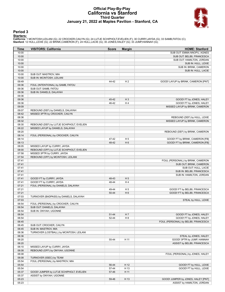### **Official Play-By-Play California vs Stanford Third Quarter January 21, 2022 at Maples Pavilion - Stanford, CA**



### **Period 3**

<mark>Starters:</mark><br>California: 1 MCINTOSH,LEILANI (G); 22 CROCKER,CAILYN (G); 24 LUTJE SCHIPHOLT,EVELIEN (F); 30 CURRY,JAYDA (G); 33 SAMB,FATOU (C);<br>**Stanford**: 12 HULL,LEXIE (G); 22 BRINK,CAMERON (F); 24 HULL,LACIE (G); 30 JONES

| Time           | <b>VISITORS: California</b>               | <b>Score</b>   | <b>Margin</b>                    | <b>HOME: Stanford</b>                |
|----------------|-------------------------------------------|----------------|----------------------------------|--------------------------------------|
| 10:00          |                                           |                |                                  | SUB OUT: EMMA-NNOPU, AGNES           |
| 10:00          |                                           |                |                                  | SUB OUT: BELIBI, FRANCESCA           |
| 10:00          |                                           |                |                                  | SUB OUT: HAMILTON, JORDAN            |
| 10:00          |                                           |                |                                  | SUB IN: HULL, LEXIE                  |
| 10:00          |                                           |                |                                  | SUB IN: BRINK, CAMERON               |
| 10:00          |                                           |                |                                  | SUB IN: HULL, LACIE                  |
| 10:00          | SUB OUT: MASTROV, MIA                     |                |                                  |                                      |
| 10:00          | SUB IN: MCINTOSH, LEILANI                 |                |                                  |                                      |
| 09:49          |                                           | 44-42          | H <sub>2</sub>                   | GOOD! LAYUP by BRINK, CAMERON [PNT]  |
| 09:36          | FOUL (INTENTIONAL) by SAMB, FATOU         |                |                                  |                                      |
| 09:36          | SUB OUT: SAMB, FATOU                      |                |                                  |                                      |
| 09:36          | SUB IN: DANIELS, DALAYAH                  |                |                                  |                                      |
| 09:36          |                                           |                |                                  |                                      |
| 09:36          |                                           | 45-42          | $H_3$                            | GOOD! FT by JONES, HALEY             |
| 09:36          |                                           | 46-42          | $H_4$                            | GOOD! FT by JONES, HALEY             |
| 09:09          |                                           |                |                                  | MISSED LAYUP by BRINK, CAMERON       |
| 09:07          | REBOUND (DEF) by DANIELS, DALAYAH         |                |                                  |                                      |
| 08:42          | MISSED 3PTR by CROCKER, CAILYN            |                |                                  |                                      |
| 08:36          |                                           |                |                                  | REBOUND (DEF) by HULL, LEXIE         |
| 08:32          |                                           |                |                                  | MISSED LAYUP by BRINK, CAMERON       |
| 08:30          | REBOUND (DEF) by LUTJE SCHIPHOLT, EVELIEN |                |                                  |                                      |
| 08:22          | MISSED LAYUP by DANIELS, DALAYAH          |                |                                  |                                      |
| 08:20<br>08:14 |                                           |                |                                  | REBOUND (DEF) by BRINK, CAMERON      |
|                | FOUL (PERSONAL) by CROCKER, CAILYN        |                |                                  | GOOD! FT by BRINK, CAMERON [FB]      |
| 08:14<br>08:13 |                                           | 47-42<br>48-42 | H <sub>5</sub><br>H <sub>6</sub> | GOOD! FT by BRINK, CAMERON [FB]      |
| 08:05          | MISSED LAYUP by CURRY, JAYDA              |                |                                  |                                      |
| 08:00          | REBOUND (OFF) by LUTJE SCHIPHOLT, EVELIEN |                |                                  |                                      |
| 07:58          | MISSED 3PTR by CURRY, JAYDA               |                |                                  |                                      |
| 07:54          | REBOUND (OFF) by MCINTOSH, LEILANI        |                |                                  |                                      |
| 07:41          |                                           |                |                                  | FOUL (PERSONAL) by BRINK, CAMERON    |
| 07:41          |                                           |                |                                  | SUB OUT: BRINK, CAMERON              |
| 07:41          |                                           |                |                                  | SUB OUT: HULL, LACIE                 |
| 07:41          |                                           |                |                                  | SUB IN: BELIBI, FRANCESCA            |
| 07:41          |                                           |                |                                  | SUB IN: HAMILTON, JORDAN             |
| 07:41          | GOOD! FT by CURRY, JAYDA                  | 48-43          | H <sub>5</sub>                   |                                      |
| 07:41          | GOOD! FT by CURRY, JAYDA                  | 48-44          | H4                               |                                      |
| 07:21          | FOUL (PERSONAL) by DANIELS, DALAYAH       |                |                                  |                                      |
| 07:21          |                                           | 49-44          | H <sub>5</sub>                   | GOOD! FT by BELIBI, FRANCESCA        |
| 07:21          |                                           | 50-44          | H <sub>6</sub>                   | GOOD! FT by BELIBI, FRANCESCA        |
| 07:03          | TURNOVER (BADPASS) by DANIELS, DALAYAH    |                |                                  |                                      |
| 07:03          |                                           |                |                                  | STEAL by HULL, LEXIE                 |
| 06:54          | FOUL (PERSONAL) by CROCKER, CAILYN        |                |                                  |                                      |
| 06:54          | SUB OUT: DANIELS, DALAYAH                 |                |                                  |                                      |
| 06:54          | SUB IN: ONYIAH, UGONNE                    |                |                                  |                                      |
| 06:54          |                                           | 51-44          | H 7                              | GOOD! FT by JONES, HALEY             |
| 06:54          |                                           | 52-44          | H <sub>8</sub>                   | GOOD! FT by JONES, HALEY             |
| 06:45          |                                           |                |                                  | FOUL (PERSONAL) by BELIBI, FRANCESCA |
| 06:45          | SUB OUT: CROCKER, CAILYN                  |                |                                  |                                      |
| 06:45          | SUB IN: MASTROV, MIA                      |                |                                  |                                      |
| 06:36          | TURNOVER (LOSTBALL) by MCINTOSH, LEILANI  |                |                                  |                                      |
| 06:36          |                                           |                |                                  | STEAL by JONES, HALEY                |
| 06:20          |                                           | 55-44          | H 11                             | GOOD! 3PTR by JUMP, HANNAH           |
| 06:20          |                                           |                |                                  | ASSIST by BELIBI, FRANCESCA          |
| 06:10          | MISSED LAYUP by CURRY, JAYDA              |                |                                  |                                      |
| 06:08          | REBOUND (OFF) by ONYIAH, UGONNE           |                |                                  |                                      |
| 06:08          |                                           |                |                                  | FOUL (PERSONAL) by JONES, HALEY      |
| 06:08          | TURNOVER (5SEC) by TEAM                   |                |                                  |                                      |
| 05:54          | FOUL (PERSONAL) by MASTROV, MIA           |                |                                  |                                      |
| 05:54          |                                           | 56-44          | H 12                             | GOOD! FT by HULL, LEXIE              |
| 05:54          |                                           | 57-44          | H 13                             | GOOD! FT by HULL, LEXIE              |
| 05:37          | GOOD! JUMPER by LUTJE SCHIPHOLT, EVELIEN  | 57-46          | H 11                             |                                      |
| 05:37          | ASSIST by ONYIAH, UGONNE                  |                |                                  |                                      |
| 05:23          |                                           | 59-46          | H 13                             | GOOD! JUMPER by JONES, HALEY [PNT]   |
| 05:23          |                                           |                |                                  | ASSIST by HAMILTON, JORDAN           |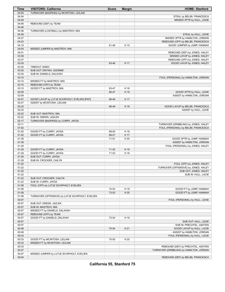| Time  | <b>VISITORS: California</b>                      | <b>Score</b> | <b>Margin</b> | <b>HOME: Stanford</b>                    |
|-------|--------------------------------------------------|--------------|---------------|------------------------------------------|
| 04:54 | TURNOVER (BADPASS) by MCINTOSH, LEILANI          |              |               |                                          |
| 04:54 |                                                  |              |               | STEAL by BELIBI, FRANCESCA               |
| 04:49 |                                                  |              |               | MISSED 3PTR by HULL, LEXIE               |
| 04:46 | REBOUND (DEF) by TEAM                            |              |               |                                          |
| 04:46 |                                                  |              |               |                                          |
| 04:36 | TURNOVER (LOSTBALL) by MASTROV, MIA              |              |               |                                          |
| 04:36 |                                                  |              |               | STEAL by HULL, LEXIE                     |
| 04:27 |                                                  |              |               | MISSED 3PTR by HAMILTON, JORDAN          |
| 04:23 |                                                  |              |               | REBOUND (OFF) by BELIBI, FRANCESCA       |
| 04:19 |                                                  | 61-46        | H 15          | GOOD! JUMPER by JUMP, HANNAH             |
|       |                                                  |              |               |                                          |
| 04:04 | MISSED JUMPER by MASTROV, MIA                    |              |               |                                          |
| 04:01 |                                                  |              |               | REBOUND (DEF) by JONES, HALEY            |
| 03:39 |                                                  |              |               | MISSED LAYUP by JONES, HALEY             |
| 03:37 |                                                  |              |               | REBOUND (OFF) by JONES, HALEY            |
| 03:35 |                                                  | 63-46        | H 17          | GOOD! LAYUP by JONES, HALEY              |
| 03:30 | TIMEOUT 30SEC                                    |              |               |                                          |
| 03:30 | SUB OUT: ONYIAH, UGONNE                          |              |               |                                          |
| 03:30 | SUB IN: DANIELS, DALAYAH                         |              |               |                                          |
| 03:10 |                                                  |              |               | FOUL (PERSONAL) by HAMILTON, JORDAN      |
| 03:10 | MISSED FT by MASTROV, MIA                        |              |               |                                          |
| 03:10 | REBOUND (OFF) by TEAM                            |              |               |                                          |
| 03:10 | GOOD! FT by MASTROV, MIA                         | 63-47        | H 16          |                                          |
| 02:59 |                                                  | 66-47        | H 19          | GOOD! 3PTR by HULL, LEXIE                |
| 02:59 |                                                  |              |               | ASSIST by HAMILTON, JORDAN               |
| 02:47 | GOOD! LAYUP by LUTJE SCHIPHOLT, EVELIEN [PNT]    | 66-49        | H 17          |                                          |
| 02:47 | ASSIST by MCINTOSH, LEILANI                      |              |               |                                          |
| 02:32 |                                                  | 68-49        | H 19          | GOOD! LAYUP by BELIBI, FRANCESCA         |
| 02:32 |                                                  |              |               | ASSIST by HULL, LEXIE                    |
| 02:22 | SUB OUT: MASTROV, MIA                            |              |               |                                          |
| 02:22 | SUB IN: GREEN, JAZLEN                            |              |               |                                          |
| 02:17 | TURNOVER (BADPASS) by CURRY, JAYDA               |              |               |                                          |
| 02:11 |                                                  |              |               | TURNOVER (DRIBBLING) by JONES, HALEY     |
| 01:52 |                                                  |              |               | FOUL (PERSONAL) by BELIBI, FRANCESCA     |
| 01:52 |                                                  | 68-50        | H 18          |                                          |
|       | GOOD! FT by CURRY, JAYDA                         |              |               |                                          |
| 01:52 | GOOD! FT by CURRY, JAYDA                         | 68-51        | H 17          |                                          |
| 01:39 |                                                  | 71-51        | H 20          | GOOD! 3PTR by JUMP, HANNAH               |
| 01:39 |                                                  |              |               | ASSIST by HAMILTON, JORDAN               |
| 01:29 |                                                  |              |               | FOUL (PERSONAL) by JONES, HALEY          |
| 01:29 | GOOD! FT by CURRY, JAYDA                         | 71-52        | H 19          |                                          |
| 01:29 | GOOD! FT by CURRY, JAYDA                         | 71-53        | H 18          |                                          |
| 01:29 | SUB OUT: CURRY, JAYDA                            |              |               |                                          |
| 01:29 | SUB IN: CROCKER, CAILYN                          |              |               |                                          |
| 01:22 |                                                  |              |               | FOUL (OFF) by JONES, HALEY               |
| 01:22 |                                                  |              |               | TURNOVER (OFFENSIVE) by JONES, HALEY     |
| 01:22 |                                                  |              |               | SUB OUT: JONES, HALEY                    |
| 01:22 |                                                  |              |               | SUB IN: HULL, LACIE                      |
| 01:22 | SUB OUT: CROCKER, CAILYN                         |              |               |                                          |
| 01:22 | SUB IN: CURRY, JAYDA                             |              |               |                                          |
| 01:08 | FOUL (OFF) by LUTJE SCHIPHOLT, EVELIEN           |              |               |                                          |
| 01:08 |                                                  | 72-53        | H 19          | GOOD! FT by JUMP, HANNAH                 |
| 01:08 |                                                  | 73-53        | H 20          | GOOD! FT by JUMP, HANNAH                 |
| 01:08 | TURNOVER (OFFENSIVE) by LUTJE SCHIPHOLT, EVELIEN |              |               |                                          |
| 00:57 |                                                  |              |               | FOUL (PERSONAL) by HULL, LEXIE           |
| 00:57 | SUB OUT: GREEN, JAZLEN                           |              |               |                                          |
| 00:57 | SUB IN: MASTROV, MIA                             |              |               |                                          |
| 00:57 | MISSED FT by DANIELS, DALAYAH                    |              |               |                                          |
|       | REBOUND (OFF) by TEAM                            |              |               |                                          |
| 00:57 |                                                  |              |               |                                          |
| 00:57 | GOOD! FT by DANIELS, DALAYAH                     | 73-54        | H 19          |                                          |
| 00:57 |                                                  |              |               | SUB OUT: HULL, LEXIE                     |
| 00:57 |                                                  |              |               | SUB IN: PRECHTEL, ASHTEN                 |
| 00:48 |                                                  | 75-54        | H 21          | GOOD! LAYUP by HULL, LACIE               |
| 00:48 |                                                  |              |               | ASSIST by HAMILTON, JORDAN               |
| 00:33 |                                                  |              |               | FOUL (PERSONAL) by HULL, LACIE           |
| 00:33 | GOOD! FT by MCINTOSH, LEILANI                    | 75-55        | H 20          |                                          |
| 00:33 | MISSED FT by MCINTOSH, LEILANI                   |              |               |                                          |
| 00:33 |                                                  |              |               | REBOUND (DEF) by PRECHTEL, ASHTEN        |
| 00:27 |                                                  |              |               | TURNOVER (DRIBBLING) by HAMILTON, JORDAN |
| 00:07 | MISSED JUMPER by LUTJE SCHIPHOLT, EVELIEN        |              |               |                                          |
| 00:04 |                                                  |              |               | REBOUND (DEF) by BELIBI, FRANCESCA       |

**California 55, Stanford 75**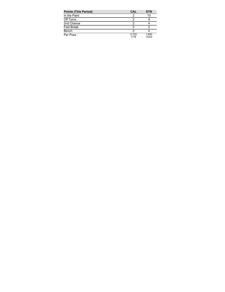| <b>Points (This Period)</b> | <b>CAL</b>    | <b>STN</b>     |
|-----------------------------|---------------|----------------|
| In the Paint                |               | 10             |
| Off Turns                   |               |                |
| 2nd Chance                  |               |                |
| <b>Fast Break</b>           |               |                |
| Bench                       | ႒             |                |
| Per Poss                    | 0.722<br>7/18 | 1.650<br>15/20 |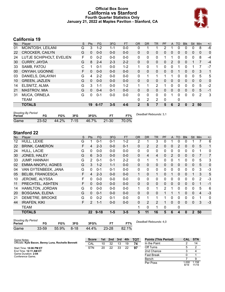### **Official Box Score California vs Stanford Fourth Quarter Statistics Only January 21, 2022 at Maples Pavilion - Stanford, CA**



# **California 19**

| No. | Plaver                   | S  | <b>Pts</b> | <b>FG</b> | 3FG     | <b>FT</b> | <b>OR</b>    | <b>DR</b>    | <b>TR</b>      | <b>PF</b>    | A            | TO          | <b>Blk</b>   | Stl           | Min            | $+/-$       |
|-----|--------------------------|----|------------|-----------|---------|-----------|--------------|--------------|----------------|--------------|--------------|-------------|--------------|---------------|----------------|-------------|
| 01  | MCINTOSH, LEILANI        | G  | 3          | $1 - 2$   | $1 - 1$ | $0-0$     | 0            |              |                | 2            |              | 0           | 0            | 0             | 8              | -6          |
| 22  | <b>CROCKER, CAILYN</b>   | G  | $\Omega$   | $0 - 0$   | $0 - 0$ | $0 - 0$   | $\mathbf{0}$ | $\Omega$     | 0              | 0            | 0            | $\Omega$    | $\mathbf{0}$ | 0             | 0              | $\mathbf 0$ |
| 24  | LUTJE SCHIPHOLT, EVELIEN | F  | 0          | $0 - 2$   | $0 - 0$ | $0 - 0$   | 0            | 0            | 0              |              |              | 0           | 0            | 0             | 8              | -4          |
| 30  | <b>CURRY, JAYDA</b>      | G  | 8          | $2 - 4$   | $2 - 3$ | $2 - 2$   | $\Omega$     | $\Omega$     | 0              | 0            | 2            | $\Omega$    | 0            |               | 7              | $-4$        |
| 33  | SAMB, FATOU              | C  |            | $0 - 1$   | $0 - 0$ | $1 - 2$   | 1            | $\Omega$     | 1              | 0            | 0            |             | 0            |               |                | $-7$        |
| 00  | ONYIAH, UGONNE           | F. | $\Omega$   | $0 - 0$   | $0 - 0$ | $0 - 0$   | $\Omega$     | $\Omega$     | 0              | $\Omega$     | 0            |             | $\Omega$     | $\mathbf{0}$  | 3              | 1           |
| 03  | DANIELS, DALAYAH         | G  | 4          | $2 - 2$   | $0 - 0$ | $0-0$     | 0            |              | 1              |              | 1            | 0           | 0            | 0             | 5              | 5           |
| 10  | <b>GREEN, JAZLEN</b>     | G  | $\Omega$   | $0 - 0$   | $0 - 0$ | $0 - 0$   | $\mathbf{0}$ | $\mathbf{0}$ | 0              | 0            | $\mathbf{0}$ | $\Omega$    | $\Omega$     | $\mathbf{0}$  | $\mathbf{0}$   | $\Omega$    |
| 14  | ELSNITZ, ALMA            | G  | 3          | 1-1       | $0 - 0$ | $1 - 2$   | 1            |              | $\overline{2}$ |              | 0            | $\Omega$    | 0            | 0             | 5              | $-2$        |
| 21  | <b>MASTROV, MIA</b>      | G  | $\Omega$   | $0 - 4$   | $0 - 1$ | $0 - 0$   | $\Omega$     | $\Omega$     | $\Omega$       | $\Omega$     | 0            | $\Omega$    | $\Omega$     | $\Omega$      | 5              | $-1$        |
| 31  | <b>MUCA, ORNELA</b>      | G  | 0          | $0 - 1$   | $0-0$   | $0 - 0$   | $\Omega$     | $\Omega$     | 0              | $\Omega$     |              | $\Omega$    | $\Omega$     | $\mathbf{0}$  | $\overline{2}$ | 3           |
|     | <b>TEAM</b>              |    |            |           |         |           | $\Omega$     | 2            | 2              | $\mathbf{0}$ |              | 0           |              |               |                |             |
|     | <b>TOTALS</b>            |    | 19         | $6 - 17$  | $3 - 5$ | $4 - 6$   | $\mathbf{2}$ | 5            | 7              | 5            | 6            | $\mathbf 2$ | $\Omega$     | $\mathcal{P}$ | 50             |             |

| <b>Shooting By Period</b><br>Period | FG        | FG%   | 3FG      | 3FG%  |           | FT%   | Deadball Rebounds: 3,1 |
|-------------------------------------|-----------|-------|----------|-------|-----------|-------|------------------------|
| Game                                | $23 - 52$ | 44.2% | $7 - 15$ | 46.7% | $21 - 30$ | 70.0% |                        |

# **Stanford 22**

| No. | Player                   | S  | <b>Pts</b>     | <b>FG</b> | 3FG     | <b>FT</b> | <b>OR</b>    | <b>DR</b> | <b>TR</b>      | PF       | A            | <b>TO</b>    | <b>Blk</b>   | Stl            | Min            | $+/-$ |
|-----|--------------------------|----|----------------|-----------|---------|-----------|--------------|-----------|----------------|----------|--------------|--------------|--------------|----------------|----------------|-------|
| 12  | HULL, LEXIE              | G  |                | $0 - 1$   | $0 - 1$ | $1 - 2$   | 2            |           | 3              | 0        |              | 0            | 0            |                |                | 6     |
| 22  | <b>BRINK, CAMERON</b>    | F  | 4              | $2 - 3$   | $0 - 0$ | $0 - 1$   | $\Omega$     | 2         | $\overline{2}$ | 0        | $\Omega$     | 2            | 0            | $\mathbf{0}$   | 5              | 1     |
| 24  | <b>HULL, LACIE</b>       | G  | 0              | $0 - 0$   | $0 - 0$ | $0-0$     | 0            | 0         | $\mathbf{0}$   | 0        | 0            | $\Omega$     | 0            | 0              | 1              | 0     |
| 30  | JONES, HALEY             | G  | 6              | $3 - 3$   | $0 - 0$ | $0 - 0$   | $\Omega$     | 4         | 4              | 0        | 2            | $\Omega$     | $\Omega$     | $\Omega$       | $\overline{7}$ | 7     |
| 33  | <b>JUMP, HANNAH</b>      | G  | $\overline{2}$ | $0 - 1$   | $0 - 1$ | $2 - 2$   | $\mathbf{0}$ | 1         | 1              | 0        | 0            | 1            | 0            | $\mathbf{0}$   | 5              | 3     |
| 02  | EMMA-NNOPU, AGNES        | G  | 3              | $1 - 2$   | $1 - 1$ | $0 - 0$   | $\Omega$     | 0         | 0              | $\Omega$ | $\mathbf{0}$ | $\Omega$     | $\Omega$     | $\mathbf{0}$   | 5              | 0     |
| 04  | VAN GYTENBEEK, JANA      | G  | 0              | $0 - 1$   | $0 - 1$ | $0 - 0$   | 0            | 0         | 0              | 0        | 0            | $\mathbf{0}$ | 0            | 0              | 3              | $-3$  |
| 05  | <b>BELIBI, FRANCESCA</b> | F  | 4              | $2 - 3$   | $0 - 0$ | $0-0$     | 1            | 0         | 1              | 0        |              | $\mathbf{0}$ | $\mathbf{0}$ |                | 3              | 5     |
| 10  | JEROME, ALYSSA           | F  | 0              | $0 - 0$   | $0 - 0$ | $0 - 0$   | 0            | 0         | $\mathbf{0}$   | 0        | 0            | $\Omega$     | 0            | $\Omega$       | 2              | $-3$  |
| 11  | PRECHTEL, ASHTEN         | F  | 0              | $0 - 0$   | $0 - 0$ | $0 - 0$   | $\mathbf{0}$ | $\Omega$  | $\mathbf{0}$   | 0        | $\Omega$     | $\Omega$     | $\Omega$     | $\Omega$       | 1              | $-1$  |
| 14  | HAMILTON, JORDAN         | G  | $\Omega$       | $0-0$     | $0 - 0$ | $0-0$     | 1            | 0         | $\mathbf 1$    | 2        |              | $\Omega$     | $\Omega$     | $\mathbf{0}$   | 5              | 6     |
| 20  | <b>BOSGANA, ELENA</b>    | G  | $\Omega$       | $0 - 1$   | $0 - 0$ | $0 - 0$   | $\Omega$     | $\Omega$  | $\Omega$       |          |              |              | $\Omega$     | $\Omega$       | $\overline{4}$ | $-3$  |
| 21  | DEMETRE, BROOKE          | G  | $\Omega$       | $0 - 2$   | $0 - 1$ | $0 - 0$   | 0            |           | 1              |          | 0            | 0            | 0            | 0              |                | 0     |
| 44  | <b>IRIAFEN, KIKI</b>     | F. | 2              | $1 - 1$   | $0 - 0$ | $0 - 0$   | $\Omega$     | 2         | $\overline{2}$ | 1        | $\Omega$     | $\Omega$     | $\Omega$     | $\Omega$       | 3              | $-3$  |
|     | <b>TEAM</b>              |    |                |           |         |           | 1            | 0         | 1              | 0        |              | $\mathbf 0$  |              |                |                |       |
|     | <b>TOTALS</b>            |    | 22             | $9 - 18$  | $1 - 5$ | $3 - 5$   | 5            | 11        | 16             | 5        | 6            | 4            | 0            | $\overline{2}$ | 50             |       |
|     |                          |    |                |           |         |           |              |           |                |          |              |              |              |                |                |       |

| <b>Shooting By Period</b><br>Period | FG        | FG%   | 3FG      | 3FG%  |           | FT%   | Deadball Rebounds: 4,0 |
|-------------------------------------|-----------|-------|----------|-------|-----------|-------|------------------------|
| Game                                | $33 - 59$ | 55.9% | $8 - 18$ | 44.4% | $23 - 28$ | 82.1% |                        |

| Game Notes:                                         | <b>Score</b> |    | 1st 2nd | 3rd | 4th | <b>TOT</b> | <b>Points (This Period)</b> | CAL STN      |                |
|-----------------------------------------------------|--------------|----|---------|-----|-----|------------|-----------------------------|--------------|----------------|
| Officials: Kyle Bacon, Benny Luna, Rochelle Bennett | CAL          | 10 | 32      | 13  | 19  | 74         | In the Paint                |              | 14             |
| Start Time: 10:06 PM ET                             | <b>STN</b>   | 20 | 22      | 33  | 22  | 97         | Off Turns                   |              |                |
| End Time: <b>12:11 AM ET</b>                        |              |    |         |     |     |            | 2nd Chance                  |              |                |
| Game Duration: 2:04<br>Conference Game:             |              |    |         |     |     |            | <b>Fast Break</b>           |              |                |
|                                                     |              |    |         |     |     |            | Bench                       |              |                |
|                                                     |              |    |         |     |     |            | Per Poss                    | .000<br>8/19 | 1.158<br>11/19 |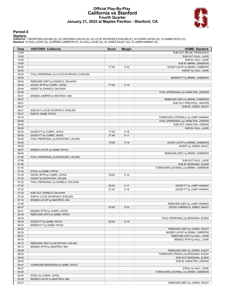### **Official Play-By-Play California vs Stanford Fourth Quarter January 21, 2022 at Maples Pavilion - Stanford, CA**



### **Period 4**

<mark>Starters:</mark><br>California: 1 MCINTOSH,LEILANI (G); 22 CROCKER,CAILYN (G); 24 LUTJE SCHIPHOLT,EVELIEN (F); 30 CURRY,JAYDA (G); 33 SAMB,FATOU (C);<br>**Stanford**: 12 HULL,LEXIE (G); 22 BRINK,CAMERON (F); 24 HULL,LACIE (G); 30 JONES

| Time           | <b>VISITORS: California</b>                 | <b>Score</b> | <b>Margin</b> | <b>HOME: Stanford</b>                                                      |
|----------------|---------------------------------------------|--------------|---------------|----------------------------------------------------------------------------|
| 10:00          |                                             |              |               | SUB OUT: BELIBI, FRANCESCA                                                 |
| 10:00          |                                             |              |               | SUB OUT: HULL, LACIE                                                       |
| 10:00          |                                             |              |               | SUB IN: HULL, LEXIE                                                        |
| 10:00          |                                             |              |               | SUB IN: BRINK, CAMERON                                                     |
| 09:52          |                                             | 77-55        | H 22          | GOOD! LAYUP by BRINK, CAMERON                                              |
| 09:52          |                                             |              |               | ASSIST by HULL, LEXIE                                                      |
| 09:52          | FOUL (PERSONAL) by LUTJE SCHIPHOLT, EVELIEN |              |               |                                                                            |
| 09:52          |                                             |              |               | MISSED FT by BRINK, CAMERON                                                |
| 09:52          | REBOUND (DEF) by DANIELS, DALAYAH           |              |               |                                                                            |
| 09:44          | GOOD! 3PTR by CURRY, JAYDA                  | 77-58        | H 19          |                                                                            |
| 09:44          | ASSIST by DANIELS, DALAYAH                  |              |               |                                                                            |
| 09:44          |                                             |              |               | FOUL (PERSONAL) by HAMILTON, JORDAN                                        |
| 09:31          | MISSED JUMPER by MASTROV, MIA               |              |               |                                                                            |
| 09:27          |                                             |              |               | REBOUND (DEF) by BRINK, CAMERON                                            |
| 09:21          |                                             |              |               | SUB OUT: PRECHTEL, ASHTEN                                                  |
| 09:21          |                                             |              |               | SUB IN: JONES, HALEY                                                       |
| 09:21          | SUB OUT: LUTJE SCHIPHOLT, EVELIEN           |              |               |                                                                            |
| 09:21<br>09:15 | SUB IN: SAMB, FATOU                         |              |               |                                                                            |
| 08:50          |                                             |              |               | TURNOVER (LOSTBALL) by JUMP, HANNAH<br>FOUL (PERSONAL) by HAMILTON, JORDAN |
| 08:50          |                                             |              |               | SUB OUT: HAMILTON, JORDAN                                                  |
| 08:50          |                                             |              |               | SUB IN: HULL, LACIE                                                        |
| 08:50          | GOOD! FT by CURRY, JAYDA                    | 77-59        | H 18          |                                                                            |
| 08:50          | GOOD! FT by CURRY, JAYDA                    | 77-60        | H 17          |                                                                            |
| 08:46          | FOUL (PERSONAL) by MCINTOSH, LEILANI        |              |               |                                                                            |
| 08:25          |                                             | 79-60        | H 19          | GOOD! LAYUP by BRINK, CAMERON                                              |
| 08:25          |                                             |              |               | ASSIST by JONES, HALEY                                                     |
| 08:07          | MISSED LAYUP by SAMB, FATOU                 |              |               |                                                                            |
| 08:04          |                                             |              |               | REBOUND (DEF) by BRINK, CAMERON                                            |
| 07:56          | FOUL (PERSONAL) by MCINTOSH, LEILANI        |              |               |                                                                            |
| 07:56          |                                             |              |               | SUB OUT: HULL, LACIE                                                       |
| 07:56          |                                             |              |               | SUB IN: BOSGANA, ELENA                                                     |
| 07:43          |                                             |              |               | TURNOVER (LOSTBALL) by BRINK, CAMERON                                      |
| 07:43          | STEAL by SAMB, FATOU                        |              |               |                                                                            |
| 07:33          | GOOD! 3PTR by CURRY, JAYDA                  | 79-63        | H 16          |                                                                            |
| 07:33          | ASSIST by MCINTOSH, LEILANI                 |              |               |                                                                            |
| 07:22          | FOUL (PERSONAL) by DANIELS, DALAYAH         |              |               |                                                                            |
| 07:22          |                                             | 80-63        | H 17          | GOOD! FT by JUMP, HANNAH                                                   |
| 07:22          |                                             | 81-63        | H 18          | GOOD! FT by JUMP, HANNAH                                                   |
| 07:22          | SUB OUT: DANIELS, DALAYAH                   |              |               |                                                                            |
| 07:22          | SUB IN: LUTJE SCHIPHOLT, EVELIEN            |              |               |                                                                            |
| 07:10          | MISSED LAYUP by MASTROV, MIA                |              |               |                                                                            |
| 07:08          |                                             |              |               | REBOUND (DEF) by JUMP, HANNAH                                              |
| 06:57          |                                             | 83-63        | H 20          | GOOD! JUMPER by JONES, HALEY                                               |
| 06:41          | MISSED 3PTR by CURRY, JAYDA                 |              |               |                                                                            |
| 06:36<br>06:34 | REBOUND (OFF) by SAMB, FATOU                |              |               |                                                                            |
| 06:34          | GOOD! FT by SAMB, FATOU                     | 83-64        | H 19          | FOUL (PERSONAL) by BOSGANA, ELENA                                          |
| 06:34          | MISSED FT by SAMB, FATOU                    |              |               |                                                                            |
| 06:32          |                                             |              |               | REBOUND (DEF) by JONES, HALEY                                              |
| 06:24          |                                             |              |               | MISSED LAYUP by BRINK, CAMERON                                             |
| 06:21          |                                             |              |               | REBOUND (OFF) by HULL, LEXIE                                               |
| 06:18          |                                             |              |               | MISSED 3PTR by HULL, LEXIE                                                 |
| 06:15          | REBOUND (DEF) by MCINTOSH, LEILANI          |              |               |                                                                            |
| 06:12          | MISSED 3PTR by MASTROV, MIA                 |              |               |                                                                            |
| 06:08          |                                             |              |               | REBOUND (DEF) by JONES, HALEY                                              |
| 06:02          |                                             |              |               | TURNOVER (TRAVEL) by BOSGANA, ELENA                                        |
| 06:02          |                                             |              |               | SUB OUT: BOSGANA, ELENA                                                    |
| 06:02          |                                             |              |               | SUB IN: HAMILTON, JORDAN                                                   |
| 05:47          | TURNOVER (BADPASS) by SAMB, FATOU           |              |               |                                                                            |
| 05:47          |                                             |              |               | STEAL by HULL, LEXIE                                                       |
| 05:43          |                                             |              |               | TURNOVER (LOSTBALL) by BRINK, CAMERON                                      |
| 05:43          | STEAL by CURRY, JAYDA                       |              |               |                                                                            |
| 05:39          | MISSED LAYUP by MASTROV, MIA                |              |               |                                                                            |
| 05:37          |                                             |              |               | REBOUND (DEF) by JONES, HALEY                                              |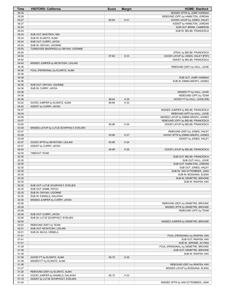| <b>Time</b>    | <b>VISITORS: California</b>                               | <b>Score</b> | <b>Margin</b> | <b>HOME: Stanford</b>                                                   |
|----------------|-----------------------------------------------------------|--------------|---------------|-------------------------------------------------------------------------|
| 05:34          |                                                           |              |               | MISSED 3PTR by JUMP, HANNAH                                             |
| 05:28          |                                                           |              |               | REBOUND (OFF) by HAMILTON, JORDAN                                       |
| 05:27<br>05:27 |                                                           | 85-64        | H 21          | GOOD! LAYUP by JONES, HALEY                                             |
| 05:24          |                                                           |              |               | ASSIST by HAMILTON, JORDAN<br>SUB OUT: BRINK, CAMERON                   |
| 05:24          |                                                           |              |               | SUB IN: BELIBI, FRANCESCA                                               |
| 05:24          | SUB OUT: MASTROV, MIA                                     |              |               |                                                                         |
| 05:24          | SUB IN: ELSNITZ, ALMA                                     |              |               |                                                                         |
| 05:24          | SUB OUT: CURRY, JAYDA                                     |              |               |                                                                         |
| 05:24          | SUB IN: ONYIAH, UGONNE                                    |              |               |                                                                         |
| 05:05<br>05:05 | TURNOVER (BADPASS) by ONYIAH, UGONNE                      |              |               |                                                                         |
| 04:54          |                                                           | 87-64        | H 23          | STEAL by BELIBI, FRANCESCA<br>GOOD! LAYUP by JONES, HALEY [PNT]         |
| 04:54          |                                                           |              |               | ASSIST by BELIBI, FRANCESCA                                             |
| 04:40          | MISSED JUMPER by MCINTOSH, LEILANI                        |              |               |                                                                         |
| 04:36          |                                                           |              |               | REBOUND (DEF) by HULL, LEXIE                                            |
| 04:36          | FOUL (PERSONAL) by ELSNITZ, ALMA                          |              |               |                                                                         |
| 04:36          |                                                           |              |               |                                                                         |
| 04:36          |                                                           |              |               | SUB OUT: JUMP, HANNAH                                                   |
| 04:36<br>04:36 | SUB OUT: ONYIAH, UGONNE                                   |              |               | SUB IN: EMMA-NNOPU, AGNES                                               |
| 04:36          | SUB IN: CURRY, JAYDA                                      |              |               |                                                                         |
| 04:36          |                                                           |              |               | MISSED FT by HULL, LEXIE                                                |
| 04:36          |                                                           |              |               | REBOUND (OFF) by TEAM                                                   |
| 04:36          |                                                           | 88-64        | H 24          | GOOD! FT by HULL, LEXIE [FB]                                            |
| 04:22          | GOOD! JUMPER by ELSNITZ, ALMA                             | 88-66        | H 22          |                                                                         |
| 04:22          | ASSIST by CURRY, JAYDA                                    |              |               |                                                                         |
| 04:07          |                                                           |              |               | MISSED JUMPER by BELIBI, FRANCESCA                                      |
| 04:04          |                                                           |              |               | REBOUND (OFF) by HULL, LEXIE                                            |
| 03:59<br>03:57 |                                                           |              |               | MISSED LAYUP by EMMA-NNOPU, AGNES<br>REBOUND (OFF) by BELIBI, FRANCESCA |
| 03:55          |                                                           | 90-66        | H 24          | GOOD! LAYUP by BELIBI, FRANCESCA                                        |
| 03:39          | MISSED LAYUP by LUTJE SCHIPHOLT, EVELIEN                  |              |               |                                                                         |
| 03:37          |                                                           |              |               | REBOUND (DEF) by JONES, HALEY                                           |
| 03:28          |                                                           | 93-66        | H 27          | GOOD! 3PTR by EMMA-NNOPU, AGNES                                         |
| 03:28          |                                                           |              |               | ASSIST by JONES, HALEY                                                  |
| 02:57          | GOOD! 3PTR by MCINTOSH, LEILANI                           | 93-69        | H 24          |                                                                         |
| 02:57          | ASSIST by CURRY, JAYDA                                    |              |               |                                                                         |
| 02:42          | <b>TIMEOUT TEAM</b>                                       | 95-69        | H 26          | GOOD! LAYUP by BELIBI, FRANCESCA                                        |
| 02:35<br>02:35 |                                                           |              |               | SUB OUT: BELIBI, FRANCESCA                                              |
| 02:35          |                                                           |              |               | SUB OUT: HULL, LEXIE                                                    |
| 02:35          |                                                           |              |               | SUB OUT: HAMILTON, JORDAN                                               |
| 02:35          |                                                           |              |               | SUB OUT: JONES, HALEY                                                   |
| 02:35          |                                                           |              |               | SUB IN: VAN GYTENBEEK, JANA                                             |
| 02:35          |                                                           |              |               | SUB IN: BOSGANA, ELENA                                                  |
| 02:35          |                                                           |              |               | SUB IN: DEMETRE, BROOKE                                                 |
| 02:35          |                                                           |              |               | SUB IN: IRIAFEN, KIKI                                                   |
| 02:35<br>02:35 | SUB OUT: LUTJE SCHIPHOLT, EVELIEN<br>SUB OUT: SAMB, FATOU |              |               |                                                                         |
| 02:35          | SUB IN: ONYIAH, UGONNE                                    |              |               |                                                                         |
| 02:35          | SUB IN: DANIELS, DALAYAH                                  |              |               |                                                                         |
| 02:30          | MISSED JUMPER by CURRY, JAYDA                             |              |               |                                                                         |
| 02:26          |                                                           |              |               | REBOUND (DEF) by DEMETRE, BROOKE                                        |
| 02:09          |                                                           |              |               | MISSED 3PTR by DEMETRE, BROOKE                                          |
| 02:06          |                                                           |              |               | REBOUND (OFF) by TEAM                                                   |
| 02:06          | SUB OUT: CURRY, JAYDA                                     |              |               |                                                                         |
| 02:06<br>02:04 | SUB IN: LUTJE SCHIPHOLT, EVELIEN                          |              |               | MISSED JUMPER by DEMETRE, BROOKE                                        |
| 02:02          | REBOUND (DEF) by TEAM                                     |              |               |                                                                         |
| 02:01          | SUB OUT: MCINTOSH, LEILANI                                |              |               |                                                                         |
| 02:01          | SUB IN: MUCA, ORNELA                                      |              |               |                                                                         |
| 01:41          |                                                           |              |               | FOUL (PERSONAL) by IRIAFEN, KIKI                                        |
| 01:41          |                                                           |              |               | SUB OUT: IRIAFEN, KIKI                                                  |
| 01:41          |                                                           |              |               | SUB IN: JEROME, ALYSSA                                                  |
| 01:38          |                                                           |              |               | FOUL (PERSONAL) by DEMETRE, BROOKE                                      |
| 01:38          |                                                           |              |               | SUB OUT: DEMETRE, BROOKE                                                |
| 01:38<br>01:38 | GOOD! FT by ELSNITZ, ALMA                                 | 95-70        | H 25          | SUB IN: IRIAFEN, KIKI                                                   |
| 01:38          | MISSED FT by ELSNITZ, ALMA                                |              |               |                                                                         |
| 01:38          |                                                           |              |               | REBOUND (DEF) by IRIAFEN, KIKI                                          |
| 01:27          |                                                           |              |               | MISSED LAYUP by BOSGANA, ELENA                                          |
| 01:25          | REBOUND (DEF) by ELSNITZ, ALMA                            |              |               |                                                                         |
| 01:18          | GOOD! JUMPER by DANIELS, DALAYAH                          | 95-72        | H 23          |                                                                         |
| 01:18          | ASSIST by LUTJE SCHIPHOLT, EVELIEN                        |              |               |                                                                         |
| 01:04          |                                                           |              |               | MISSED 3PTR by VAN GYTENBEEK, JANA                                      |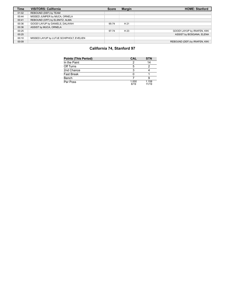| <b>Time</b> | <b>VISITORS: California</b>              | <b>Score</b> | <b>Margin</b> | <b>HOME: Stanford</b>          |
|-------------|------------------------------------------|--------------|---------------|--------------------------------|
| 01:02       | REBOUND (DEF) by TEAM                    |              |               |                                |
| 00:44       | MISSED JUMPER by MUCA, ORNELA            |              |               |                                |
| 00:41       | REBOUND (OFF) by ELSNITZ, ALMA           |              |               |                                |
| 00:36       | GOOD! LAYUP by DANIELS, DALAYAH          | 95-74        | H 21          |                                |
| 00:36       | ASSIST by MUCA, ORNELA                   |              |               |                                |
| 00:25       |                                          | 97-74        | H 23          | GOOD! LAYUP by IRIAFEN, KIKI   |
| 00:25       |                                          |              |               | ASSIST by BOSGANA, ELENA       |
| 00:10       | MISSED LAYUP by LUTJE SCHIPHOLT, EVELIEN |              |               |                                |
| 00:09       |                                          |              |               | REBOUND (DEF) by IRIAFEN, KIKI |

# **California 74, Stanford 97**

| <b>Points (This Period)</b> | <b>CAL</b>    | <b>STN</b>     |
|-----------------------------|---------------|----------------|
| In the Paint                |               | 14             |
| Off Turns                   | 5             |                |
| 2nd Chance                  |               |                |
| <b>Fast Break</b>           |               |                |
| Bench                       |               |                |
| Per Poss                    | 1.000<br>8/19 | 1.158<br>11/19 |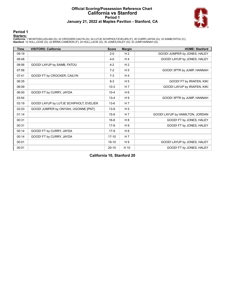### **Official Scoring/Possession Reference Chart California vs Stanford Period 1 January 21, 2022 at Maples Pavilion - Stanford, CA**



### **Period 1**

<mark>Starters:</mark><br>California: 1 MCINTOSH,LEILANI (G); 22 CROCKER,CAILYN (G); 24 LUTJE SCHIPHOLT,EVELIEN (F); 30 CURRY,JAYDA (G); 33 SAMB,FATOU (C);<br>**Stanford**: 12 HULL,LEXIE (G); 22 BRINK,CAMERON (F); 24 HULL,LACIE (G); 30 JONES

| <b>Time</b> | <b>VISITORS: California</b>             | <b>Score</b> | <b>Margin</b>  | <b>HOME: Stanford</b>           |
|-------------|-----------------------------------------|--------------|----------------|---------------------------------|
| 09:19       |                                         | $2 - 0$      | H <sub>2</sub> | GOOD! JUMPER by JONES, HALEY    |
| 08:48       |                                         | $4 - 0$      | H4             | GOOD! LAYUP by JONES, HALEY     |
| 08:06       | GOOD! LAYUP by SAMB, FATOU              | $4 - 2$      | H <sub>2</sub> |                                 |
| 07:58       |                                         | $7-2$        | H <sub>5</sub> | GOOD! 3PTR by JUMP, HANNAH      |
| 07:41       | GOOD! FT by CROCKER, CAILYN             | $7-3$        | H <sub>4</sub> |                                 |
| 06:35       |                                         | $8 - 3$      | H <sub>5</sub> | GOOD! FT by IRIAFEN, KIKI       |
| 06:09       |                                         | $10-3$       | H <sub>7</sub> | GOOD! LAYUP by IRIAFEN, KIKI    |
| 06:00       | GOOD! FT by CURRY, JAYDA                | $10 - 4$     | H <sub>6</sub> |                                 |
| 03:54       |                                         | $13 - 4$     | H9             | GOOD! 3PTR by JUMP, HANNAH      |
| 03:19       | GOOD! LAYUP by LUTJE SCHIPHOLT, EVELIEN | $13-6$       | H <sub>7</sub> |                                 |
| 02:03       | GOOD! JUMPER by ONYIAH, UGONNE [PNT]    | $13 - 8$     | H <sub>5</sub> |                                 |
| 01:14       |                                         | $15 - 8$     | H <sub>7</sub> | GOOD! LAYUP by HAMILTON, JORDAN |
| 00:31       |                                         | $16 - 8$     | H 8            | GOOD! FT by JONES, HALEY        |
| 00:31       |                                         | $17-8$       | H <sub>9</sub> | GOOD! FT by JONES, HALEY        |
| 00:14       | GOOD! FT by CURRY, JAYDA                | $17-9$       | H 8            |                                 |
| 00:14       | GOOD! FT by CURRY, JAYDA                | $17 - 10$    | H <sub>7</sub> |                                 |
| 00:01       |                                         | $19-10$      | H 9            | GOOD! LAYUP by JONES, HALEY     |
| 00:01       |                                         | $20 - 10$    | H 10           | GOOD! FT by JONES, HALEY        |

**California 10, Stanford 20**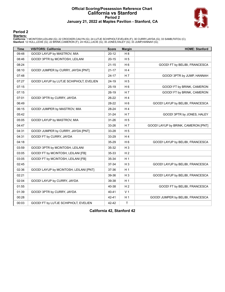### **Official Scoring/Possession Reference Chart California vs Stanford Period 2 January 21, 2022 at Maples Pavilion - Stanford, CA**



### **Period 2**

<mark>Starters:</mark><br>California: 1 MCINTOSH,LEILANI (G); 22 CROCKER,CAILYN (G); 24 LUTJE SCHIPHOLT,EVELIEN (F); 30 CURRY,JAYDA (G); 33 SAMB,FATOU (C);<br>**Stanford**: 12 HULL,LEXIE (G); 22 BRINK,CAMERON (F); 24 HULL,LACIE (G); 30 JONES

| <b>Time</b> | <b>VISITORS: California</b>             | <b>Score</b> | <b>Margin</b>  | <b>HOME: Stanford</b>               |
|-------------|-----------------------------------------|--------------|----------------|-------------------------------------|
| 09:48       | GOOD! LAYUP by MASTROV, MIA             | $20 - 12$    | H8             |                                     |
| 08:46       | GOOD! 3PTR by MCINTOSH, LEILANI         | $20 - 15$    | H <sub>5</sub> |                                     |
| 08:24       |                                         | $21 - 15$    | H <sub>6</sub> | GOOD! FT by BELIBI, FRANCESCA       |
| 08:10       | GOOD! JUMPER by CURRY, JAYDA [PNT]      | $21 - 17$    | H4             |                                     |
| 07:48       |                                         | $24 - 17$    | H <sub>7</sub> | GOOD! 3PTR by JUMP, HANNAH          |
| 07:27       | GOOD! LAYUP by LUTJE SCHIPHOLT, EVELIEN | 24-19        | H <sub>5</sub> |                                     |
| 07:15       |                                         | $25-19$      | H <sub>6</sub> | GOOD! FT by BRINK, CAMERON          |
| 07:15       |                                         | $26-19$      | H 7            | GOOD! FT by BRINK, CAMERON          |
| 07:01       | GOOD! 3PTR by CURRY, JAYDA              | $26-22$      | H <sub>4</sub> |                                     |
| 06:49       |                                         | 28-22        | H <sub>6</sub> | GOOD! LAYUP by BELIBI, FRANCESCA    |
| 06:15       | GOOD! JUMPER by MASTROV, MIA            | 28-24        | H4             |                                     |
| 05:42       |                                         | $31 - 24$    | H 7            | GOOD! 3PTR by JONES, HALEY          |
| 05:05       | GOOD! LAYUP by MASTROV, MIA             | $31 - 26$    | H <sub>5</sub> |                                     |
| 04:47       |                                         | 33-26        | H <sub>7</sub> | GOOD! LAYUP by BRINK, CAMERON [PNT] |
| 04:31       | GOOD! JUMPER by CURRY, JAYDA [PNT]      | 33-28        | H <sub>5</sub> |                                     |
| 04:31       | GOOD! FT by CURRY, JAYDA                | 33-29        | H4             |                                     |
| 04:18       |                                         | 35-29        | H <sub>6</sub> | GOOD! LAYUP by BELIBI, FRANCESCA    |
| 03:59       | GOOD! 3PTR by MCINTOSH, LEILANI         | 35-32        | $H_3$          |                                     |
| 03:05       | GOOD! FT by MCINTOSH, LEILANI [FB]      | 35-33        | H <sub>2</sub> |                                     |
| 03:05       | GOOD! FT by MCINTOSH, LEILANI [FB]      | 35-34        | H <sub>1</sub> |                                     |
| 02:45       |                                         | 37-34        | $H_3$          | GOOD! LAYUP by BELIBI, FRANCESCA    |
| 02:36       | GOOD! LAYUP by MCINTOSH, LEILANI [PNT]  | 37-36        | H <sub>1</sub> |                                     |
| 02:21       |                                         | 39-36        | $H_3$          | GOOD! LAYUP by BELIBI, FRANCESCA    |
| 02:04       | GOOD! LAYUP by CURRY, JAYDA             | 39-38        | H <sub>1</sub> |                                     |
| 01:55       |                                         | 40-38        | H <sub>2</sub> | GOOD! FT by BELIBI, FRANCESCA       |
| 01:39       | GOOD! 3PTR by CURRY, JAYDA              | 40-41        | V <sub>1</sub> |                                     |
| 00:28       |                                         | 42-41        | H <sub>1</sub> | GOOD! JUMPER by BELIBI, FRANCESCA   |
| 00:03       | GOOD! FT by LUTJE SCHIPHOLT, EVELIEN    | 42-42        | $\mathsf{T}$   |                                     |

**California 42, Stanford 42**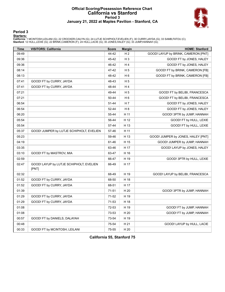### **Official Scoring/Possession Reference Chart California vs Stanford Period 3 January 21, 2022 at Maples Pavilion - Stanford, CA**



### **Period 3**

<mark>Starters:</mark><br>California: 1 MCINTOSH,LEILANI (G); 22 CROCKER,CAILYN (G); 24 LUTJE SCHIPHOLT,EVELIEN (F); 30 CURRY,JAYDA (G); 33 SAMB,FATOU (C);<br>**Stanford**: 12 HULL,LEXIE (G); 22 BRINK,CAMERON (F); 24 HULL,LACIE (G); 30 JONES

| <b>Time</b> | <b>VISITORS: California</b>                      | <b>Score</b> | <b>Margin</b>  | <b>HOME: Stanford</b>               |
|-------------|--------------------------------------------------|--------------|----------------|-------------------------------------|
| 09:49       |                                                  | 44-42        | H <sub>2</sub> | GOOD! LAYUP by BRINK, CAMERON [PNT] |
| 09:36       |                                                  | 45-42        | $H_3$          | GOOD! FT by JONES, HALEY            |
| 09:36       |                                                  | 46-42        | H4             | GOOD! FT by JONES, HALEY            |
| 08:14       |                                                  | 47-42        | H <sub>5</sub> | GOOD! FT by BRINK, CAMERON [FB]     |
| 08:13       |                                                  | 48-42        | H <sub>6</sub> | GOOD! FT by BRINK, CAMERON [FB]     |
| 07:41       | GOOD! FT by CURRY, JAYDA                         | 48-43        | H <sub>5</sub> |                                     |
| 07:41       | GOOD! FT by CURRY, JAYDA                         | 48-44        | H4             |                                     |
| 07:21       |                                                  | 49-44        | H <sub>5</sub> | GOOD! FT by BELIBI, FRANCESCA       |
| 07:21       |                                                  | 50-44        | H <sub>6</sub> | GOOD! FT by BELIBI, FRANCESCA       |
| 06:54       |                                                  | 51-44        | H 7            | GOOD! FT by JONES, HALEY            |
| 06:54       |                                                  | 52-44        | H <sub>8</sub> | GOOD! FT by JONES, HALEY            |
| 06:20       |                                                  | 55-44        | H 11           | GOOD! 3PTR by JUMP, HANNAH          |
| 05:54       |                                                  | 56-44        | H 12           | GOOD! FT by HULL, LEXIE             |
| 05:54       |                                                  | 57-44        | H 13           | GOOD! FT by HULL, LEXIE             |
| 05:37       | GOOD! JUMPER by LUTJE SCHIPHOLT, EVELIEN         | 57-46        | H 11           |                                     |
| 05:23       |                                                  | 59-46        | H 13           | GOOD! JUMPER by JONES, HALEY [PNT]  |
| 04:19       |                                                  | 61-46        | H 15           | GOOD! JUMPER by JUMP, HANNAH        |
| 03:35       |                                                  | 63-46        | H 17           | GOOD! LAYUP by JONES, HALEY         |
| 03:10       | GOOD! FT by MASTROV, MIA                         | 63-47        | H 16           |                                     |
| 02:59       |                                                  | 66-47        | H 19           | GOOD! 3PTR by HULL, LEXIE           |
| 02:47       | GOOD! LAYUP by LUTJE SCHIPHOLT, EVELIEN<br>[PNT] | 66-49        | H 17           |                                     |
| 02:32       |                                                  | 68-49        | H 19           | GOOD! LAYUP by BELIBI, FRANCESCA    |
| 01:52       | GOOD! FT by CURRY, JAYDA                         | 68-50        | H 18           |                                     |
| 01:52       | GOOD! FT by CURRY, JAYDA                         | 68-51        | H 17           |                                     |
| 01:39       |                                                  | 71-51        | H 20           | GOOD! 3PTR by JUMP, HANNAH          |
| 01:29       | GOOD! FT by CURRY, JAYDA                         | 71-52        | H 19           |                                     |
| 01:29       | GOOD! FT by CURRY, JAYDA                         | 71-53        | H 18           |                                     |
| 01:08       |                                                  | 72-53        | H 19           | GOOD! FT by JUMP, HANNAH            |
| 01:08       |                                                  | 73-53        | H 20           | GOOD! FT by JUMP, HANNAH            |
| 00:57       | GOOD! FT by DANIELS, DALAYAH                     | 73-54        | H 19           |                                     |
| 00:48       |                                                  | 75-54        | H 21           | GOOD! LAYUP by HULL, LACIE          |
| 00:33       | GOOD! FT by MCINTOSH, LEILANI                    | 75-55        | H 20           |                                     |

**California 55, Stanford 75**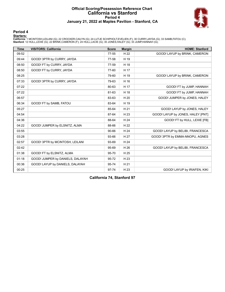### **Official Scoring/Possession Reference Chart California vs Stanford Period 4 January 21, 2022 at Maples Pavilion - Stanford, CA**



### **Period 4**

<mark>Starters:</mark><br>California: 1 MCINTOSH,LEILANI (G); 22 CROCKER,CAILYN (G); 24 LUTJE SCHIPHOLT,EVELIEN (F); 30 CURRY,JAYDA (G); 33 SAMB,FATOU (C);<br>**Stanford**: 12 HULL,LEXIE (G); 22 BRINK,CAMERON (F); 24 HULL,LACIE (G); 30 JONES

| <b>Time</b> | <b>VISITORS: California</b>      | <b>Score</b> | <b>Margin</b> | <b>HOME: Stanford</b>             |
|-------------|----------------------------------|--------------|---------------|-----------------------------------|
| 09:52       |                                  | 77-55        | H 22          | GOOD! LAYUP by BRINK, CAMERON     |
| 09:44       | GOOD! 3PTR by CURRY, JAYDA       | 77-58        | H 19          |                                   |
| 08:50       | GOOD! FT by CURRY, JAYDA         | 77-59        | H 18          |                                   |
| 08:50       | GOOD! FT by CURRY, JAYDA         | 77-60        | H 17          |                                   |
| 08:25       |                                  | 79-60        | H 19          | GOOD! LAYUP by BRINK, CAMERON     |
| 07:33       | GOOD! 3PTR by CURRY, JAYDA       | 79-63        | H 16          |                                   |
| 07:22       |                                  | 80-63        | H 17          | GOOD! FT by JUMP, HANNAH          |
| 07:22       |                                  | 81-63        | H 18          | GOOD! FT by JUMP, HANNAH          |
| 06:57       |                                  | 83-63        | H 20          | GOOD! JUMPER by JONES, HALEY      |
| 06:34       | GOOD! FT by SAMB, FATOU          | 83-64        | H 19          |                                   |
| 05:27       |                                  | 85-64        | H 21          | GOOD! LAYUP by JONES, HALEY       |
| 04:54       |                                  | 87-64        | H 23          | GOOD! LAYUP by JONES, HALEY [PNT] |
| 04:36       |                                  | 88-64        | H 24          | GOOD! FT by HULL, LEXIE [FB]      |
| 04:22       | GOOD! JUMPER by ELSNITZ, ALMA    | 88-66        | H 22          |                                   |
| 03:55       |                                  | 90-66        | H 24          | GOOD! LAYUP by BELIBI, FRANCESCA  |
| 03:28       |                                  | 93-66        | H 27          | GOOD! 3PTR by EMMA-NNOPU, AGNES   |
| 02:57       | GOOD! 3PTR by MCINTOSH, LEILANI  | 93-69        | H 24          |                                   |
| 02:42       |                                  | 95-69        | H 26          | GOOD! LAYUP by BELIBI, FRANCESCA  |
| 01:38       | GOOD! FT by ELSNITZ, ALMA        | 95-70        | H 25          |                                   |
| 01:18       | GOOD! JUMPER by DANIELS, DALAYAH | 95-72        | H 23          |                                   |
| 00:36       | GOOD! LAYUP by DANIELS, DALAYAH  | 95-74        | H 21          |                                   |
| 00:25       |                                  | 97-74        | H 23          | GOOD! LAYUP by IRIAFEN, KIKI      |

**California 74, Stanford 97**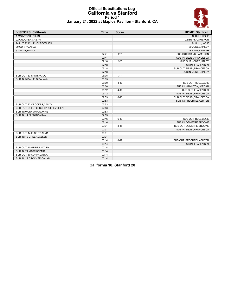### **Official Substitutions Log California vs Stanford Period 1 January 21, 2022 at Maples Pavilion - Stanford, CA**



| <b>VISITORS: California</b>          | <b>Time</b> | <b>Score</b> | <b>HOME: Stanford</b>      |
|--------------------------------------|-------------|--------------|----------------------------|
| 1 MCINTOSH, LEILANI                  |             |              | 12 HULL, LEXIE             |
| 22 CROCKER, CAILYN                   |             |              | 22 BRINK, CAMERON          |
| 24 LUTJE SCHIPHOLT, EVELIEN          |             |              | 24 HULL, LACIE             |
| 30 CURRY, JAYDA                      |             |              | 30 JONES, HALEY            |
| 33 SAMB, FATOU                       |             |              | 33 JUMP, HANNAH            |
|                                      | 07:41       | $2 - 7$      | SUB OUT: BRINK, CAMERON    |
|                                      | 07:41       |              | SUB IN: BELIBI, FRANCESCA  |
|                                      | 07:18       | $3 - 7$      | SUB OUT: JONES, HALEY      |
|                                      | 07:18       |              | SUB IN: IRIAFEN, KIKI      |
|                                      | 07:18       |              | SUB OUT: BELIBI, FRANCESCA |
|                                      | 07:18       |              | SUB IN: JONES, HALEY       |
| SUB OUT: 33 SAMB, FATOU              | 06:35       | $3 - 7$      |                            |
| SUB IN: 3 DANIELS, DALAYAH           | 06:35       |              |                            |
|                                      | 06:00       | $4 - 10$     | SUB OUT: HULL, LACIE       |
|                                      | 06:00       |              | SUB IN: HAMILTON, JORDAN   |
|                                      | 05:12       | $4 - 10$     | SUB OUT: IRIAFEN, KIKI     |
|                                      | 05:12       |              | SUB IN: BELIBI, FRANCESCA  |
|                                      | 02:53       | $6 - 13$     | SUB OUT: BELIBI, FRANCESCA |
|                                      | 02:53       |              | SUB IN: PRECHTEL, ASHTEN   |
| SUB OUT: 22 CROCKER, CAILYN          | 02:53       |              |                            |
| SUB OUT: 24 LUTJE SCHIPHOLT, EVELIEN | 02:53       |              |                            |
| SUB IN: 0 ONYIAH, UGONNE             | 02:53       |              |                            |
| SUB IN: 14 ELSNITZ, ALMA             | 02:53       |              |                            |
|                                      | 02:16       | $6 - 13$     | SUB OUT: HULL, LEXIE       |
|                                      | 02:16       |              | SUB IN: DEMETRE, BROOKE    |
|                                      | 00:31       | $8 - 15$     | SUB OUT: DEMETRE, BROOKE   |
|                                      | 00:31       |              | SUB IN: BELIBI, FRANCESCA  |
| SUB OUT: 14 ELSNITZ, ALMA            | 00:31       |              |                            |
| SUB IN: 10 GREEN, JAZLEN             | 00:31       |              |                            |
|                                      | 00:14       | $8 - 17$     | SUB OUT: PRECHTEL, ASHTEN  |
|                                      | 00:14       |              | SUB IN: IRIAFEN, KIKI      |
| SUB OUT: 10 GREEN, JAZLEN            | 00:14       |              |                            |
| SUB IN: 21 MASTROV, MIA              | 00:14       |              |                            |
| SUB OUT: 30 CURRY, JAYDA             | 00:14       |              |                            |
| SUB IN: 22 CROCKER, CAILYN           | 00:14       |              |                            |

**California 10, Stanford 20**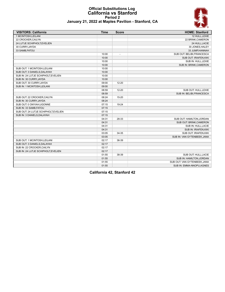### **Official Substitutions Log California vs Stanford Period 2 January 21, 2022 at Maples Pavilion - Stanford, CA**



| <b>VISITORS: California</b>          | <b>Time</b> | <b>Score</b>             | <b>HOME: Stanford</b>         |
|--------------------------------------|-------------|--------------------------|-------------------------------|
| 1 MCINTOSH.LEILANI                   |             |                          | 12 HULL.LEXIE                 |
| 22 CROCKER, CAILYN                   |             |                          | 22 BRINK, CAMERON             |
| 24 LUTJE SCHIPHOLT, EVELIEN          |             |                          | 24 HULL, LACIE                |
| 30 CURRY, JAYDA                      |             |                          | 30 JONES, HALEY               |
| 33 SAMB, FATOU                       |             |                          | 33 JUMP, HANNAH               |
|                                      | 10:00       | $\overline{\phantom{a}}$ | SUB OUT: BELIBI, FRANCESCA    |
|                                      | 10:00       |                          | <b>SUB OUT: IRIAFEN, KIKI</b> |
|                                      | 10:00       |                          | SUB IN: HULL, LEXIE           |
|                                      | 10:00       |                          | SUB IN: BRINK, CAMERON        |
| SUB OUT: 1 MCINTOSH, LEILANI         | 10:00       |                          |                               |
| SUB OUT: 3 DANIELS, DALAYAH          | 10:00       |                          |                               |
| SUB IN: 24 LUTJE SCHIPHOLT.EVELIEN   | 10:00       |                          |                               |
| SUB IN: 30 CURRY, JAYDA              | 10:00       |                          |                               |
| SUB OUT: 30 CURRY, JAYDA             | 09:00       | 12-20                    |                               |
| SUB IN: 1 MCINTOSH, LEILANI          | 09:00       |                          |                               |
|                                      | 08:59       | $12 - 20$                | SUB OUT: HULL, LEXIE          |
|                                      | 08:59       |                          | SUB IN: BELIBI, FRANCESCA     |
| SUB OUT: 22 CROCKER, CAILYN          | 08:24       | $15 - 20$                |                               |
| SUB IN: 30 CURRY, JAYDA              | 08:24       |                          |                               |
| SUB OUT: 0 ONYIAH, UGONNE            | 07:15       | 19-24                    |                               |
| SUB IN: 33 SAMB, FATOU               | 07:15       |                          |                               |
| SUB OUT: 24 LUTJE SCHIPHOLT, EVELIEN | 07:15       |                          |                               |
| SUB IN: 3 DANIELS, DALAYAH           | 07:15       |                          |                               |
|                                      | 04:31       | 28-33                    | SUB OUT: HAMILTON.JORDAN      |
|                                      | 04:31       |                          | SUB OUT: BRINK, CAMERON       |
|                                      | 04:31       |                          | SUB IN: HULL, LACIE           |
|                                      | 04:31       |                          | SUB IN: IRIAFEN, KIKI         |
|                                      | 03:05       | 34-35                    | <b>SUB OUT: IRIAFEN.KIKI</b>  |
|                                      | 03:05       |                          | SUB IN: VAN GYTENBEEK, JANA   |
| SUB OUT: 1 MCINTOSH, LEILANI         | 02:17       | 36-39                    |                               |
| SUB OUT: 3 DANIELS, DALAYAH          | 02:17       |                          |                               |
| SUB IN: 22 CROCKER, CAILYN           | 02:17       |                          |                               |
| SUB IN: 24 LUTJE SCHIPHOLT, EVELIEN  | 02:17       |                          |                               |
|                                      | 01:55       | 38-39                    | SUB OUT: HULL, LACIE          |
|                                      | 01:55       |                          | SUB IN: HAMILTON, JORDAN      |
|                                      | 01:55       |                          | SUB OUT: VAN GYTENBEEK, JANA  |
|                                      | 01:55       |                          | SUB IN: EMMA-NNOPU, AGNES     |

**California 42, Stanford 42**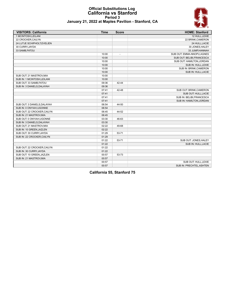### **Official Substitutions Log California vs Stanford Period 3 January 21, 2022 at Maples Pavilion - Stanford, CA**



| <b>VISITORS: California</b> | <b>Time</b> | <b>Score</b>             | <b>HOME: Stanford</b>      |
|-----------------------------|-------------|--------------------------|----------------------------|
| 1 MCINTOSH.LEILANI          |             |                          | 12 HULL.LEXIE              |
| 22 CROCKER, CAILYN          |             |                          | 22 BRINK, CAMERON          |
| 24 LUTJE SCHIPHOLT, EVELIEN |             |                          | 24 HULL, LACIE             |
| 30 CURRY, JAYDA             |             |                          | 30 JONES, HALEY            |
| 33 SAMB, FATOU              |             |                          | 33 JUMP, HANNAH            |
|                             | 10:00       | $\overline{\phantom{a}}$ | SUB OUT: EMMA-NNOPU, AGNES |
|                             | 10:00       |                          | SUB OUT: BELIBI, FRANCESCA |
|                             | 10:00       |                          | SUB OUT: HAMILTON, JORDAN  |
|                             | 10:00       |                          | SUB IN: HULL, LEXIE        |
|                             | 10:00       |                          | SUB IN: BRINK, CAMERON     |
|                             | 10:00       |                          | SUB IN: HULL, LACIE        |
| SUB OUT: 21 MASTROV, MIA    | 10:00       |                          |                            |
| SUB IN: 1 MCINTOSH, LEILANI | 10:00       |                          |                            |
| SUB OUT: 33 SAMB, FATOU     | 09:36       | 42-44                    |                            |
| SUB IN: 3 DANIELS, DALAYAH  | 09:36       |                          |                            |
|                             | 07:41       | 42-48                    | SUB OUT: BRINK, CAMERON    |
|                             | 07:41       |                          | SUB OUT: HULL, LACIE       |
|                             | 07:41       |                          | SUB IN: BELIBI, FRANCESCA  |
|                             | 07:41       |                          | SUB IN: HAMILTON, JORDAN   |
| SUB OUT: 3 DANIELS, DALAYAH | 06:54       | 44-50                    |                            |
| SUB IN: 0 ONYIAH, UGONNE    | 06:54       |                          |                            |
| SUB OUT: 22 CROCKER, CAILYN | 06:45       | 44-52                    |                            |
| SUB IN: 21 MASTROV, MIA     | 06:45       |                          |                            |
| SUB OUT: 0 ONYIAH, UGONNE   | 03:30       | 46-63                    |                            |
| SUB IN: 3 DANIELS, DALAYAH  | 03:30       |                          |                            |
| SUB OUT: 21 MASTROV, MIA    | 02:22       | 49-68                    |                            |
| SUB IN: 10 GREEN, JAZLEN    | 02:22       |                          |                            |
| SUB OUT: 30 CURRY, JAYDA    | 01:29       | 53-71                    |                            |
| SUB IN: 22 CROCKER, CAILYN  | 01:29       |                          |                            |
|                             | 01:22       | 53-71                    | SUB OUT: JONES, HALEY      |
|                             | 01:22       |                          | SUB IN: HULL, LACIE        |
| SUB OUT: 22 CROCKER, CAILYN | 01:22       |                          |                            |
| SUB IN: 30 CURRY, JAYDA     | 01:22       |                          |                            |
| SUB OUT: 10 GREEN, JAZLEN   | 00:57       | 53-73                    |                            |
| SUB IN: 21 MASTROV, MIA     | 00:57       |                          |                            |
|                             | 00:57       |                          | SUB OUT: HULL, LEXIE       |
|                             | 00:57       |                          | SUB IN: PRECHTEL, ASHTEN   |

**California 55, Stanford 75**